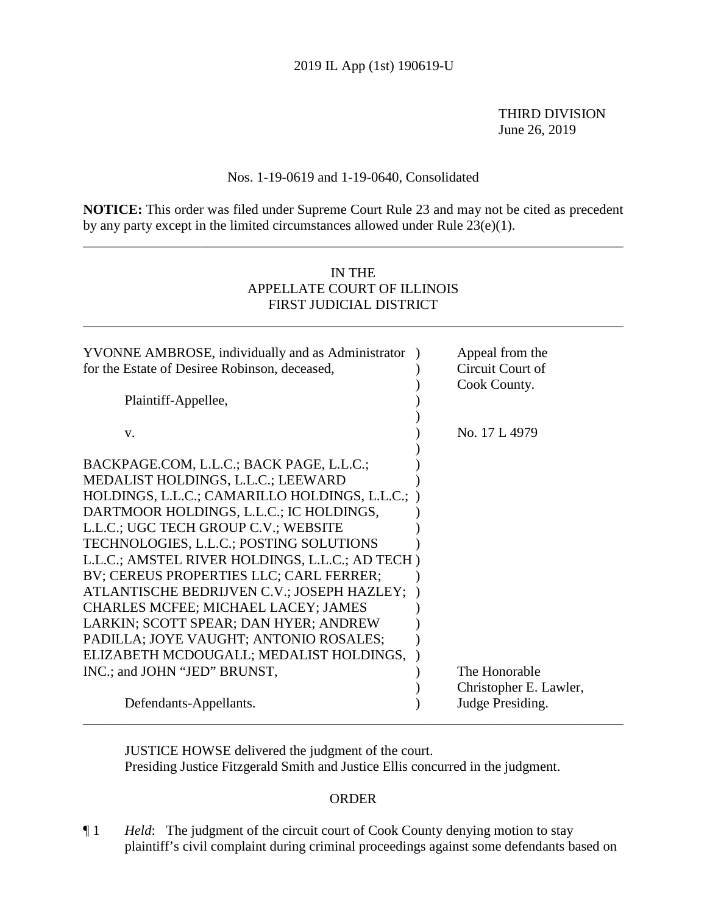THIRD DIVISION June 26, 2019

## Nos. 1-19-0619 and 1-19-0640, Consolidated

**NOTICE:** This order was filed under Supreme Court Rule 23 and may not be cited as precedent by any party except in the limited circumstances allowed under Rule 23(e)(1).

\_\_\_\_\_\_\_\_\_\_\_\_\_\_\_\_\_\_\_\_\_\_\_\_\_\_\_\_\_\_\_\_\_\_\_\_\_\_\_\_\_\_\_\_\_\_\_\_\_\_\_\_\_\_\_\_\_\_\_\_\_\_\_\_\_\_\_\_\_\_\_\_\_\_\_\_\_\_

# IN THE APPELLATE COURT OF ILLINOIS FIRST JUDICIAL DISTRICT

\_\_\_\_\_\_\_\_\_\_\_\_\_\_\_\_\_\_\_\_\_\_\_\_\_\_\_\_\_\_\_\_\_\_\_\_\_\_\_\_\_\_\_\_\_\_\_\_\_\_\_\_\_\_\_\_\_\_\_\_\_\_\_\_\_\_\_\_\_\_\_\_\_\_\_\_\_\_

| YVONNE AMBROSE, individually and as Administrator ) | Appeal from the        |
|-----------------------------------------------------|------------------------|
| for the Estate of Desiree Robinson, deceased,       | Circuit Court of       |
|                                                     | Cook County.           |
| Plaintiff-Appellee,                                 |                        |
|                                                     |                        |
| V.                                                  | No. 17 L 4979          |
|                                                     |                        |
| BACKPAGE.COM, L.L.C.; BACK PAGE, L.L.C.;            |                        |
| MEDALIST HOLDINGS, L.L.C.; LEEWARD                  |                        |
| HOLDINGS, L.L.C.; CAMARILLO HOLDINGS, L.L.C.;       |                        |
| DARTMOOR HOLDINGS, L.L.C.; IC HOLDINGS,             |                        |
| L.L.C.; UGC TECH GROUP C.V.; WEBSITE                |                        |
| TECHNOLOGIES, L.L.C.; POSTING SOLUTIONS             |                        |
| L.L.C.; AMSTEL RIVER HOLDINGS, L.L.C.; AD TECH)     |                        |
| BV; CEREUS PROPERTIES LLC; CARL FERRER;             |                        |
| ATLANTISCHE BEDRIJVEN C.V.; JOSEPH HAZLEY;          |                        |
| <b>CHARLES MCFEE; MICHAEL LACEY; JAMES</b>          |                        |
| LARKIN; SCOTT SPEAR; DAN HYER; ANDREW               |                        |
| PADILLA; JOYE VAUGHT; ANTONIO ROSALES;              |                        |
| ELIZABETH MCDOUGALL; MEDALIST HOLDINGS,             |                        |
| INC.; and JOHN "JED" BRUNST,                        | The Honorable          |
|                                                     | Christopher E. Lawler, |
| Defendants-Appellants.                              | Judge Presiding.       |
|                                                     |                        |

JUSTICE HOWSE delivered the judgment of the court. Presiding Justice Fitzgerald Smith and Justice Ellis concurred in the judgment.

#### ORDER

¶ 1 *Held*: The judgment of the circuit court of Cook County denying motion to stay plaintiff's civil complaint during criminal proceedings against some defendants based on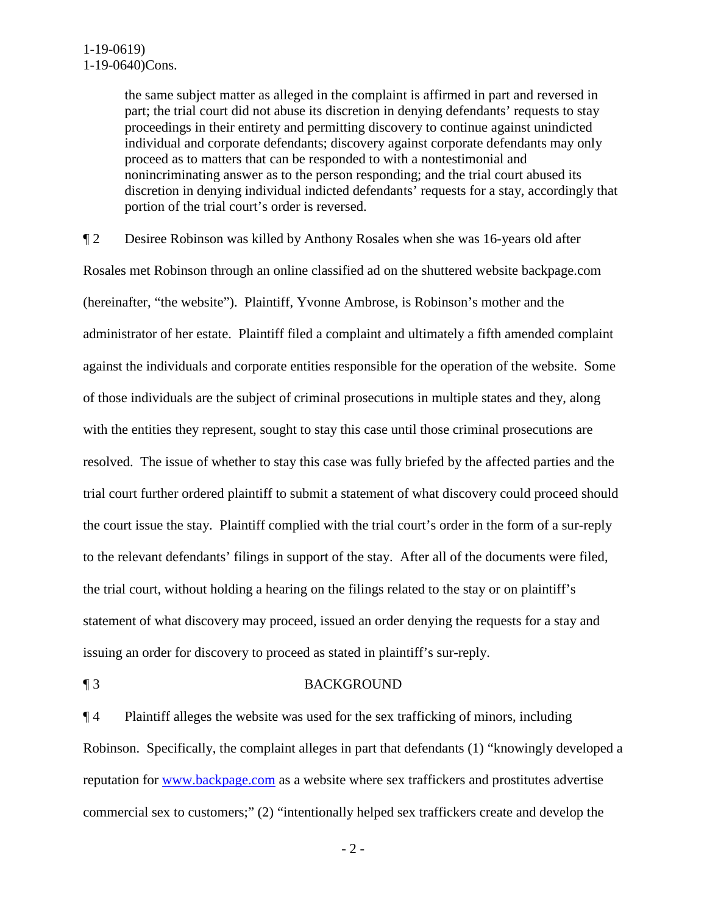the same subject matter as alleged in the complaint is affirmed in part and reversed in part; the trial court did not abuse its discretion in denying defendants' requests to stay proceedings in their entirety and permitting discovery to continue against unindicted individual and corporate defendants; discovery against corporate defendants may only proceed as to matters that can be responded to with a nontestimonial and nonincriminating answer as to the person responding; and the trial court abused its discretion in denying individual indicted defendants' requests for a stay, accordingly that portion of the trial court's order is reversed.

¶ 2 Desiree Robinson was killed by Anthony Rosales when she was 16-years old after Rosales met Robinson through an online classified ad on the shuttered website backpage.com (hereinafter, "the website"). Plaintiff, Yvonne Ambrose, is Robinson's mother and the administrator of her estate. Plaintiff filed a complaint and ultimately a fifth amended complaint against the individuals and corporate entities responsible for the operation of the website. Some of those individuals are the subject of criminal prosecutions in multiple states and they, along with the entities they represent, sought to stay this case until those criminal prosecutions are resolved. The issue of whether to stay this case was fully briefed by the affected parties and the trial court further ordered plaintiff to submit a statement of what discovery could proceed should the court issue the stay. Plaintiff complied with the trial court's order in the form of a sur-reply to the relevant defendants' filings in support of the stay. After all of the documents were filed, the trial court, without holding a hearing on the filings related to the stay or on plaintiff's statement of what discovery may proceed, issued an order denying the requests for a stay and issuing an order for discovery to proceed as stated in plaintiff's sur-reply.

#### ¶ 3 BACKGROUND

¶ 4 Plaintiff alleges the website was used for the sex trafficking of minors, including Robinson. Specifically, the complaint alleges in part that defendants (1) "knowingly developed a reputation for <u>www.backpage.com</u> as a website where sex traffickers and prostitutes advertise commercial sex to customers;" (2) "intentionally helped sex traffickers create and develop the

- 2 -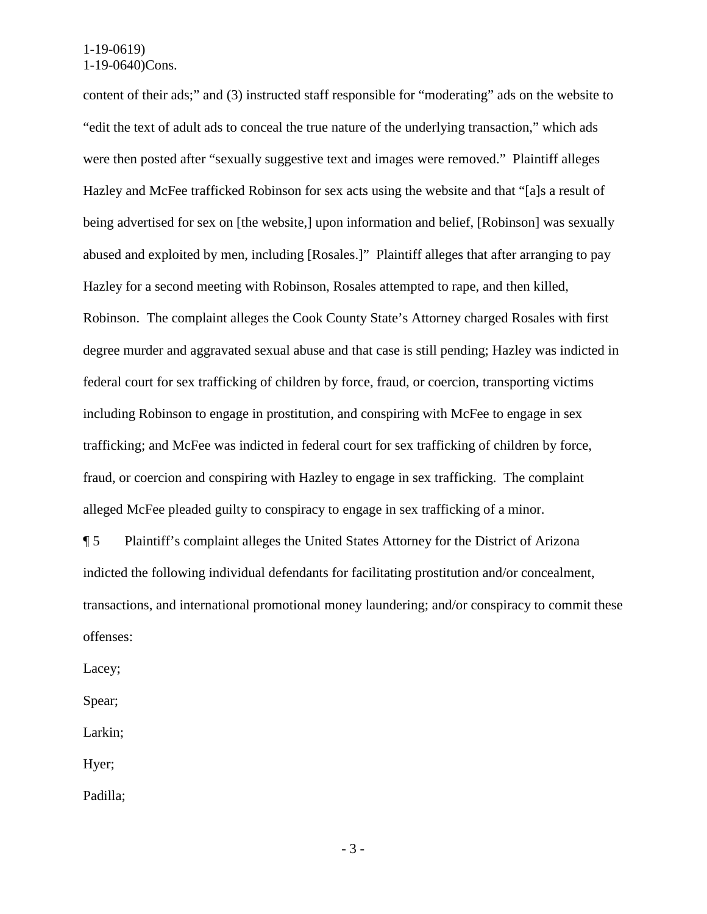content of their ads;" and (3) instructed staff responsible for "moderating" ads on the website to "edit the text of adult ads to conceal the true nature of the underlying transaction," which ads were then posted after "sexually suggestive text and images were removed." Plaintiff alleges Hazley and McFee trafficked Robinson for sex acts using the website and that "[a]s a result of being advertised for sex on [the website,] upon information and belief, [Robinson] was sexually abused and exploited by men, including [Rosales.]" Plaintiff alleges that after arranging to pay Hazley for a second meeting with Robinson, Rosales attempted to rape, and then killed, Robinson. The complaint alleges the Cook County State's Attorney charged Rosales with first degree murder and aggravated sexual abuse and that case is still pending; Hazley was indicted in federal court for sex trafficking of children by force, fraud, or coercion, transporting victims including Robinson to engage in prostitution, and conspiring with McFee to engage in sex trafficking; and McFee was indicted in federal court for sex trafficking of children by force, fraud, or coercion and conspiring with Hazley to engage in sex trafficking. The complaint alleged McFee pleaded guilty to conspiracy to engage in sex trafficking of a minor.

¶ 5 Plaintiff's complaint alleges the United States Attorney for the District of Arizona indicted the following individual defendants for facilitating prostitution and/or concealment, transactions, and international promotional money laundering; and/or conspiracy to commit these offenses:

Lacey;

Spear;

Larkin;

Hyer;

Padilla;

- 3 -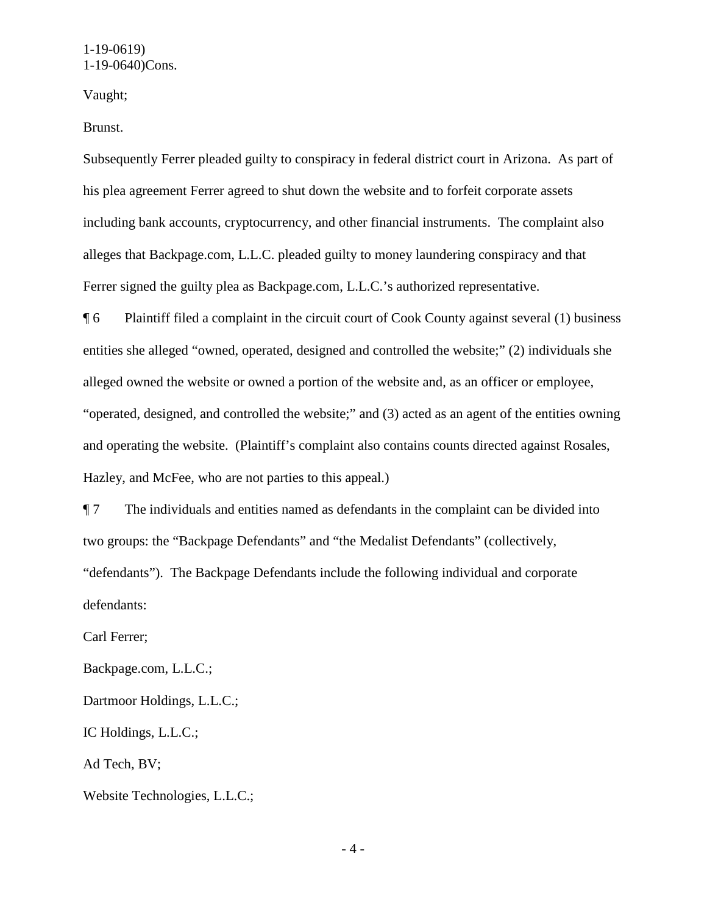Vaught;

Brunst.

Subsequently Ferrer pleaded guilty to conspiracy in federal district court in Arizona. As part of his plea agreement Ferrer agreed to shut down the website and to forfeit corporate assets including bank accounts, cryptocurrency, and other financial instruments. The complaint also alleges that Backpage.com, L.L.C. pleaded guilty to money laundering conspiracy and that Ferrer signed the guilty plea as Backpage.com, L.L.C.'s authorized representative.

¶ 6 Plaintiff filed a complaint in the circuit court of Cook County against several (1) business entities she alleged "owned, operated, designed and controlled the website;" (2) individuals she alleged owned the website or owned a portion of the website and, as an officer or employee, "operated, designed, and controlled the website;" and (3) acted as an agent of the entities owning and operating the website. (Plaintiff's complaint also contains counts directed against Rosales, Hazley, and McFee, who are not parties to this appeal.)

¶ 7 The individuals and entities named as defendants in the complaint can be divided into two groups: the "Backpage Defendants" and "the Medalist Defendants" (collectively, "defendants"). The Backpage Defendants include the following individual and corporate defendants:

Carl Ferrer;

Backpage.com, L.L.C.;

Dartmoor Holdings, L.L.C.;

IC Holdings, L.L.C.;

Ad Tech, BV;

Website Technologies, L.L.C.;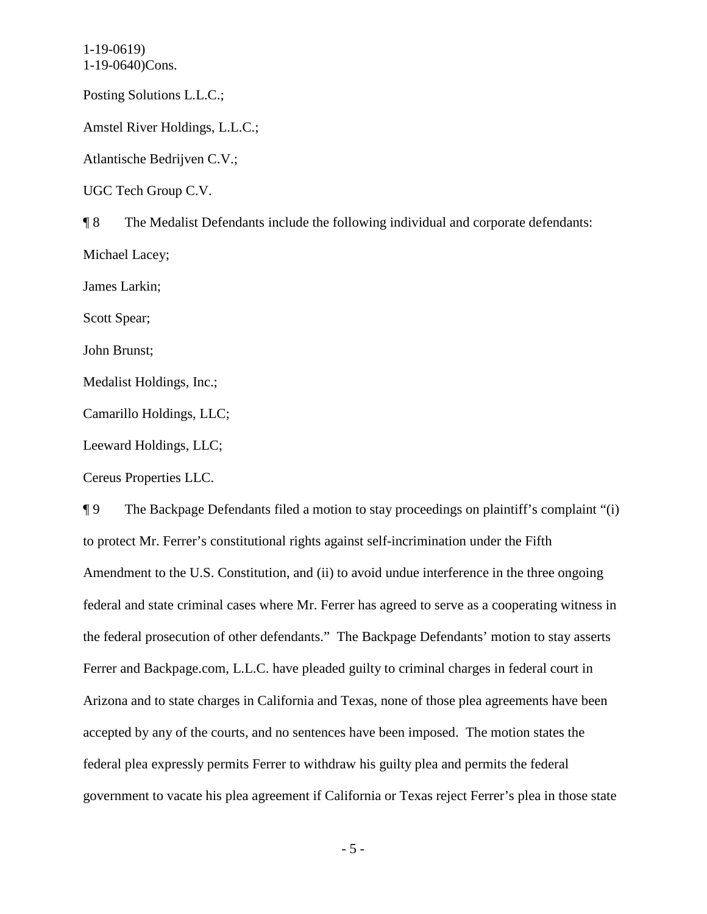Posting Solutions L.L.C.;

Amstel River Holdings, L.L.C.;

Atlantische Bedrijven C.V.;

UGC Tech Group C.V.

¶ 8 The Medalist Defendants include the following individual and corporate defendants: Michael Lacey; James Larkin; Scott Spear; John Brunst; Medalist Holdings, Inc.; Camarillo Holdings, LLC; Leeward Holdings, LLC;

Cereus Properties LLC.

¶ 9 The Backpage Defendants filed a motion to stay proceedings on plaintiff's complaint "(i) to protect Mr. Ferrer's constitutional rights against self-incrimination under the Fifth Amendment to the U.S. Constitution, and (ii) to avoid undue interference in the three ongoing federal and state criminal cases where Mr. Ferrer has agreed to serve as a cooperating witness in the federal prosecution of other defendants." The Backpage Defendants' motion to stay asserts Ferrer and Backpage.com, L.L.C. have pleaded guilty to criminal charges in federal court in Arizona and to state charges in California and Texas, none of those plea agreements have been accepted by any of the courts, and no sentences have been imposed. The motion states the federal plea expressly permits Ferrer to withdraw his guilty plea and permits the federal government to vacate his plea agreement if California or Texas reject Ferrer's plea in those state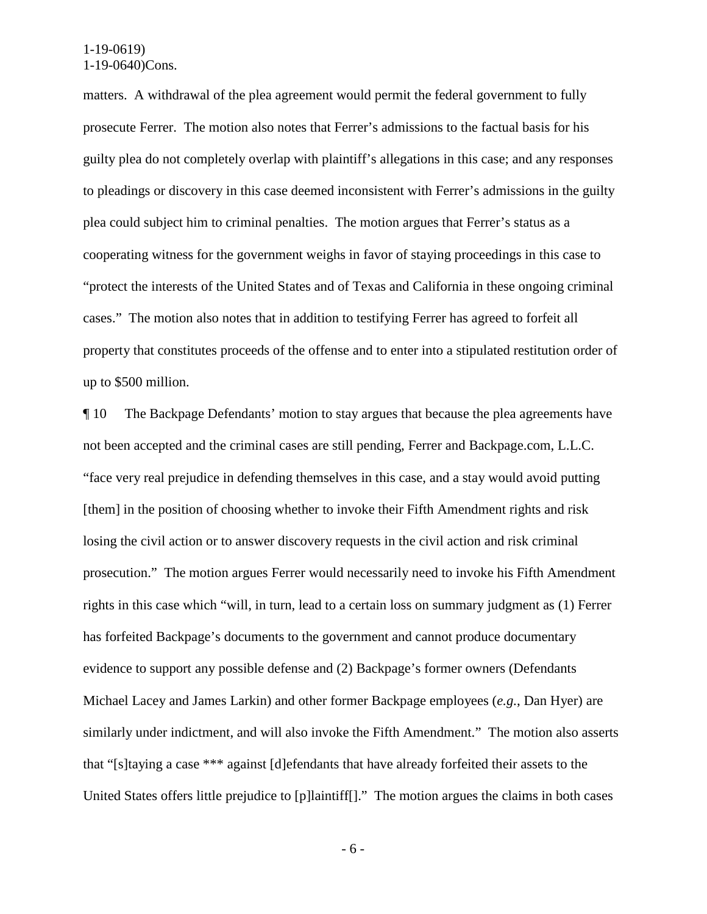matters. A withdrawal of the plea agreement would permit the federal government to fully prosecute Ferrer. The motion also notes that Ferrer's admissions to the factual basis for his guilty plea do not completely overlap with plaintiff's allegations in this case; and any responses to pleadings or discovery in this case deemed inconsistent with Ferrer's admissions in the guilty plea could subject him to criminal penalties. The motion argues that Ferrer's status as a cooperating witness for the government weighs in favor of staying proceedings in this case to "protect the interests of the United States and of Texas and California in these ongoing criminal cases." The motion also notes that in addition to testifying Ferrer has agreed to forfeit all property that constitutes proceeds of the offense and to enter into a stipulated restitution order of up to \$500 million.

¶ 10 The Backpage Defendants' motion to stay argues that because the plea agreements have not been accepted and the criminal cases are still pending, Ferrer and Backpage.com, L.L.C. "face very real prejudice in defending themselves in this case, and a stay would avoid putting [them] in the position of choosing whether to invoke their Fifth Amendment rights and risk losing the civil action or to answer discovery requests in the civil action and risk criminal prosecution." The motion argues Ferrer would necessarily need to invoke his Fifth Amendment rights in this case which "will, in turn, lead to a certain loss on summary judgment as (1) Ferrer has forfeited Backpage's documents to the government and cannot produce documentary evidence to support any possible defense and (2) Backpage's former owners (Defendants Michael Lacey and James Larkin) and other former Backpage employees (*e.g.*, Dan Hyer) are similarly under indictment, and will also invoke the Fifth Amendment." The motion also asserts that "[s]taying a case \*\*\* against [d]efendants that have already forfeited their assets to the United States offers little prejudice to [p]laintiff[]." The motion argues the claims in both cases

- 6 -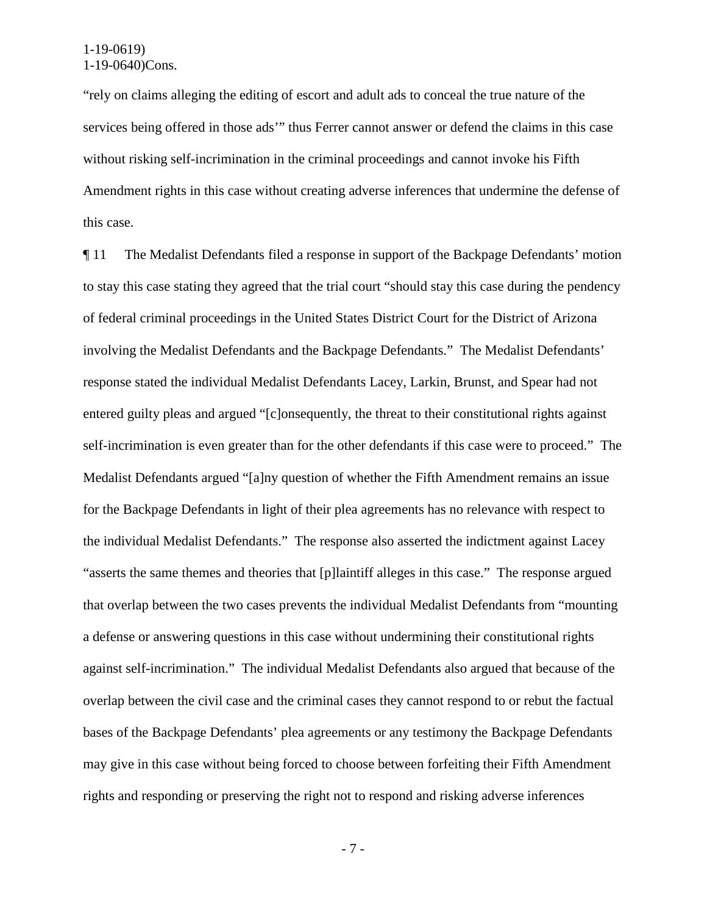"rely on claims alleging the editing of escort and adult ads to conceal the true nature of the services being offered in those ads'" thus Ferrer cannot answer or defend the claims in this case without risking self-incrimination in the criminal proceedings and cannot invoke his Fifth Amendment rights in this case without creating adverse inferences that undermine the defense of this case.

¶ 11 The Medalist Defendants filed a response in support of the Backpage Defendants' motion to stay this case stating they agreed that the trial court "should stay this case during the pendency of federal criminal proceedings in the United States District Court for the District of Arizona involving the Medalist Defendants and the Backpage Defendants." The Medalist Defendants' response stated the individual Medalist Defendants Lacey, Larkin, Brunst, and Spear had not entered guilty pleas and argued "[c]onsequently, the threat to their constitutional rights against self-incrimination is even greater than for the other defendants if this case were to proceed." The Medalist Defendants argued "[a]ny question of whether the Fifth Amendment remains an issue for the Backpage Defendants in light of their plea agreements has no relevance with respect to the individual Medalist Defendants." The response also asserted the indictment against Lacey "asserts the same themes and theories that [p]laintiff alleges in this case." The response argued that overlap between the two cases prevents the individual Medalist Defendants from "mounting a defense or answering questions in this case without undermining their constitutional rights against self-incrimination." The individual Medalist Defendants also argued that because of the overlap between the civil case and the criminal cases they cannot respond to or rebut the factual bases of the Backpage Defendants' plea agreements or any testimony the Backpage Defendants may give in this case without being forced to choose between forfeiting their Fifth Amendment rights and responding or preserving the right not to respond and risking adverse inferences

- 7 -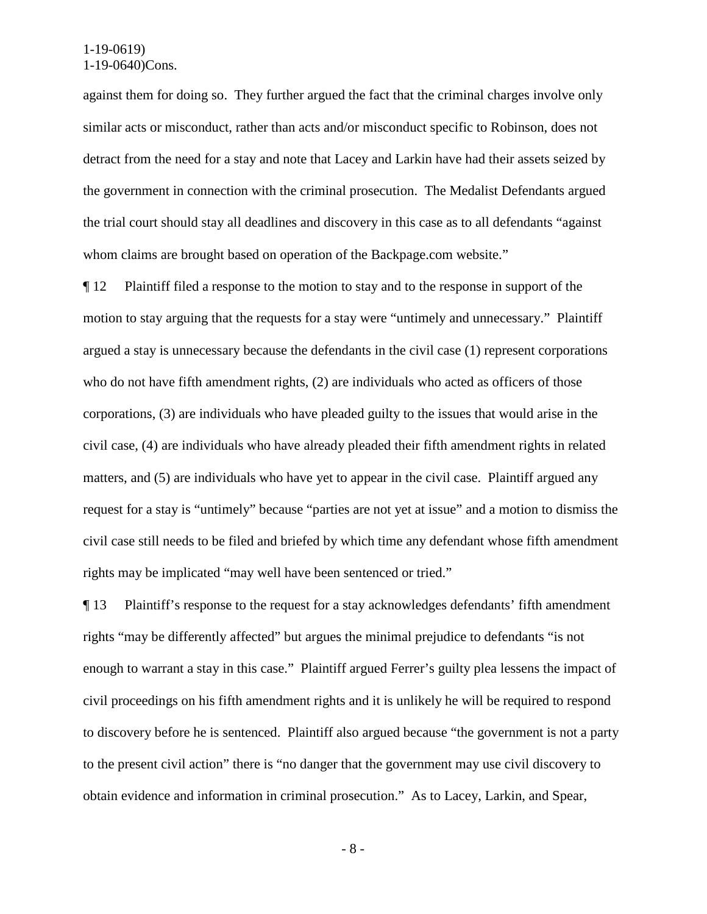against them for doing so. They further argued the fact that the criminal charges involve only similar acts or misconduct, rather than acts and/or misconduct specific to Robinson, does not detract from the need for a stay and note that Lacey and Larkin have had their assets seized by the government in connection with the criminal prosecution. The Medalist Defendants argued the trial court should stay all deadlines and discovery in this case as to all defendants "against whom claims are brought based on operation of the Backpage.com website."

¶ 12 Plaintiff filed a response to the motion to stay and to the response in support of the motion to stay arguing that the requests for a stay were "untimely and unnecessary." Plaintiff argued a stay is unnecessary because the defendants in the civil case (1) represent corporations who do not have fifth amendment rights, (2) are individuals who acted as officers of those corporations, (3) are individuals who have pleaded guilty to the issues that would arise in the civil case, (4) are individuals who have already pleaded their fifth amendment rights in related matters, and (5) are individuals who have yet to appear in the civil case. Plaintiff argued any request for a stay is "untimely" because "parties are not yet at issue" and a motion to dismiss the civil case still needs to be filed and briefed by which time any defendant whose fifth amendment rights may be implicated "may well have been sentenced or tried."

¶ 13 Plaintiff's response to the request for a stay acknowledges defendants' fifth amendment rights "may be differently affected" but argues the minimal prejudice to defendants "is not enough to warrant a stay in this case." Plaintiff argued Ferrer's guilty plea lessens the impact of civil proceedings on his fifth amendment rights and it is unlikely he will be required to respond to discovery before he is sentenced. Plaintiff also argued because "the government is not a party to the present civil action" there is "no danger that the government may use civil discovery to obtain evidence and information in criminal prosecution." As to Lacey, Larkin, and Spear,

- 8 -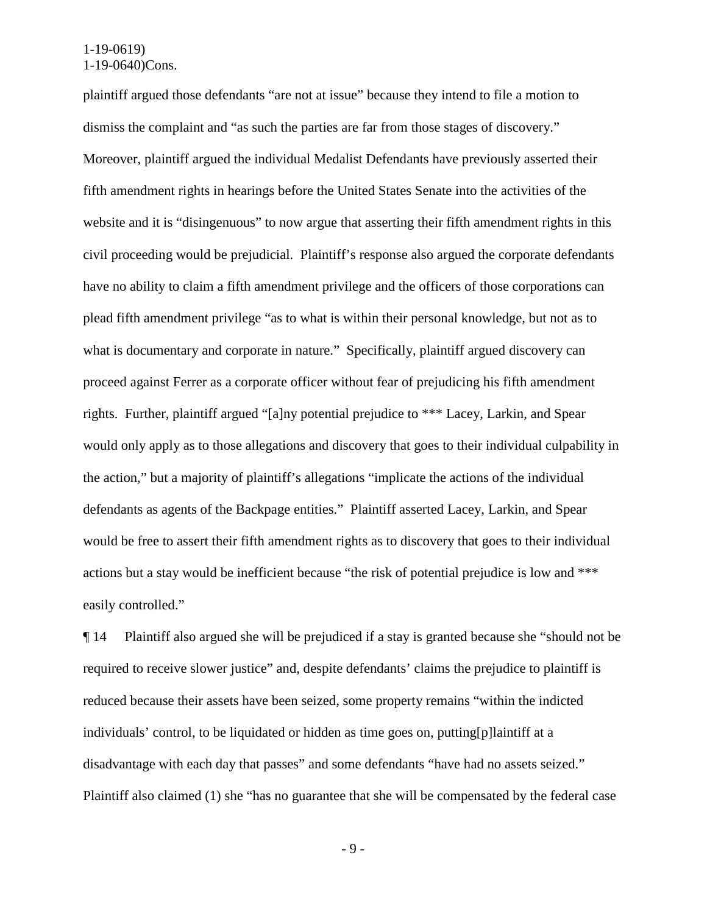plaintiff argued those defendants "are not at issue" because they intend to file a motion to dismiss the complaint and "as such the parties are far from those stages of discovery." Moreover, plaintiff argued the individual Medalist Defendants have previously asserted their fifth amendment rights in hearings before the United States Senate into the activities of the website and it is "disingenuous" to now argue that asserting their fifth amendment rights in this civil proceeding would be prejudicial. Plaintiff's response also argued the corporate defendants have no ability to claim a fifth amendment privilege and the officers of those corporations can plead fifth amendment privilege "as to what is within their personal knowledge, but not as to what is documentary and corporate in nature." Specifically, plaintiff argued discovery can proceed against Ferrer as a corporate officer without fear of prejudicing his fifth amendment rights. Further, plaintiff argued "[a]ny potential prejudice to \*\*\* Lacey, Larkin, and Spear would only apply as to those allegations and discovery that goes to their individual culpability in the action," but a majority of plaintiff's allegations "implicate the actions of the individual defendants as agents of the Backpage entities." Plaintiff asserted Lacey, Larkin, and Spear would be free to assert their fifth amendment rights as to discovery that goes to their individual actions but a stay would be inefficient because "the risk of potential prejudice is low and \*\*\* easily controlled."

¶ 14 Plaintiff also argued she will be prejudiced if a stay is granted because she "should not be required to receive slower justice" and, despite defendants' claims the prejudice to plaintiff is reduced because their assets have been seized, some property remains "within the indicted individuals' control, to be liquidated or hidden as time goes on, putting[p]laintiff at a disadvantage with each day that passes" and some defendants "have had no assets seized." Plaintiff also claimed (1) she "has no guarantee that she will be compensated by the federal case

- 9 -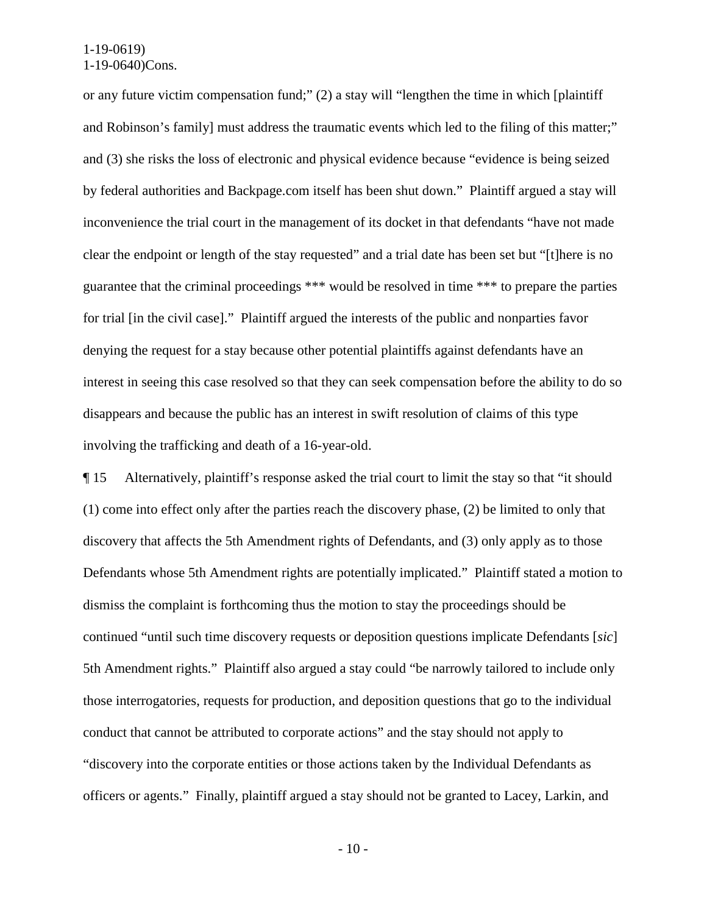or any future victim compensation fund;" (2) a stay will "lengthen the time in which [plaintiff and Robinson's family] must address the traumatic events which led to the filing of this matter;" and (3) she risks the loss of electronic and physical evidence because "evidence is being seized by federal authorities and Backpage.com itself has been shut down." Plaintiff argued a stay will inconvenience the trial court in the management of its docket in that defendants "have not made clear the endpoint or length of the stay requested" and a trial date has been set but "[t]here is no guarantee that the criminal proceedings \*\*\* would be resolved in time \*\*\* to prepare the parties for trial [in the civil case]." Plaintiff argued the interests of the public and nonparties favor denying the request for a stay because other potential plaintiffs against defendants have an interest in seeing this case resolved so that they can seek compensation before the ability to do so disappears and because the public has an interest in swift resolution of claims of this type involving the trafficking and death of a 16-year-old.

¶ 15 Alternatively, plaintiff's response asked the trial court to limit the stay so that "it should (1) come into effect only after the parties reach the discovery phase, (2) be limited to only that discovery that affects the 5th Amendment rights of Defendants, and (3) only apply as to those Defendants whose 5th Amendment rights are potentially implicated." Plaintiff stated a motion to dismiss the complaint is forthcoming thus the motion to stay the proceedings should be continued "until such time discovery requests or deposition questions implicate Defendants [*sic*] 5th Amendment rights." Plaintiff also argued a stay could "be narrowly tailored to include only those interrogatories, requests for production, and deposition questions that go to the individual conduct that cannot be attributed to corporate actions" and the stay should not apply to "discovery into the corporate entities or those actions taken by the Individual Defendants as officers or agents." Finally, plaintiff argued a stay should not be granted to Lacey, Larkin, and

- 10 -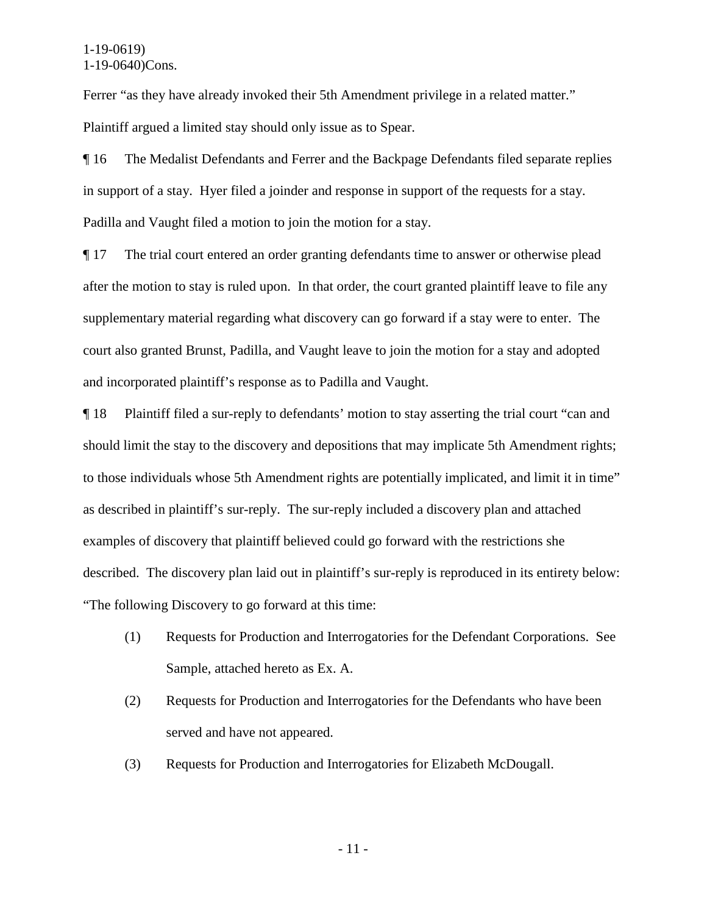Ferrer "as they have already invoked their 5th Amendment privilege in a related matter." Plaintiff argued a limited stay should only issue as to Spear.

¶ 16 The Medalist Defendants and Ferrer and the Backpage Defendants filed separate replies in support of a stay. Hyer filed a joinder and response in support of the requests for a stay. Padilla and Vaught filed a motion to join the motion for a stay.

¶ 17 The trial court entered an order granting defendants time to answer or otherwise plead after the motion to stay is ruled upon. In that order, the court granted plaintiff leave to file any supplementary material regarding what discovery can go forward if a stay were to enter. The court also granted Brunst, Padilla, and Vaught leave to join the motion for a stay and adopted and incorporated plaintiff's response as to Padilla and Vaught.

¶ 18 Plaintiff filed a sur-reply to defendants' motion to stay asserting the trial court "can and should limit the stay to the discovery and depositions that may implicate 5th Amendment rights; to those individuals whose 5th Amendment rights are potentially implicated, and limit it in time" as described in plaintiff's sur-reply. The sur-reply included a discovery plan and attached examples of discovery that plaintiff believed could go forward with the restrictions she described. The discovery plan laid out in plaintiff's sur-reply is reproduced in its entirety below: "The following Discovery to go forward at this time:

- (1) Requests for Production and Interrogatories for the Defendant Corporations. See Sample, attached hereto as Ex. A.
- (2) Requests for Production and Interrogatories for the Defendants who have been served and have not appeared.
- (3) Requests for Production and Interrogatories for Elizabeth McDougall.

- 11 -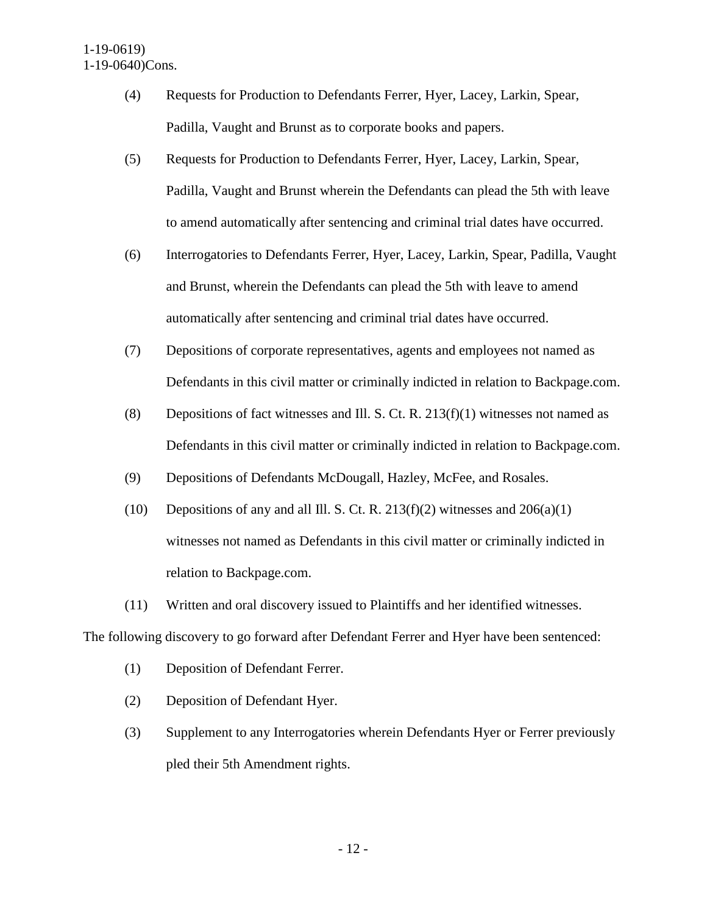- (4) Requests for Production to Defendants Ferrer, Hyer, Lacey, Larkin, Spear, Padilla, Vaught and Brunst as to corporate books and papers.
- (5) Requests for Production to Defendants Ferrer, Hyer, Lacey, Larkin, Spear, Padilla, Vaught and Brunst wherein the Defendants can plead the 5th with leave to amend automatically after sentencing and criminal trial dates have occurred.
- (6) Interrogatories to Defendants Ferrer, Hyer, Lacey, Larkin, Spear, Padilla, Vaught and Brunst, wherein the Defendants can plead the 5th with leave to amend automatically after sentencing and criminal trial dates have occurred.
- (7) Depositions of corporate representatives, agents and employees not named as Defendants in this civil matter or criminally indicted in relation to Backpage.com.
- (8) Depositions of fact witnesses and Ill. S. Ct. R. 213(f)(1) witnesses not named as Defendants in this civil matter or criminally indicted in relation to Backpage.com.
- (9) Depositions of Defendants McDougall, Hazley, McFee, and Rosales.
- (10) Depositions of any and all Ill. S. Ct. R. 213(f)(2) witnesses and  $206(a)(1)$ witnesses not named as Defendants in this civil matter or criminally indicted in relation to Backpage.com.
- (11) Written and oral discovery issued to Plaintiffs and her identified witnesses.

The following discovery to go forward after Defendant Ferrer and Hyer have been sentenced:

- (1) Deposition of Defendant Ferrer.
- (2) Deposition of Defendant Hyer.
- (3) Supplement to any Interrogatories wherein Defendants Hyer or Ferrer previously pled their 5th Amendment rights.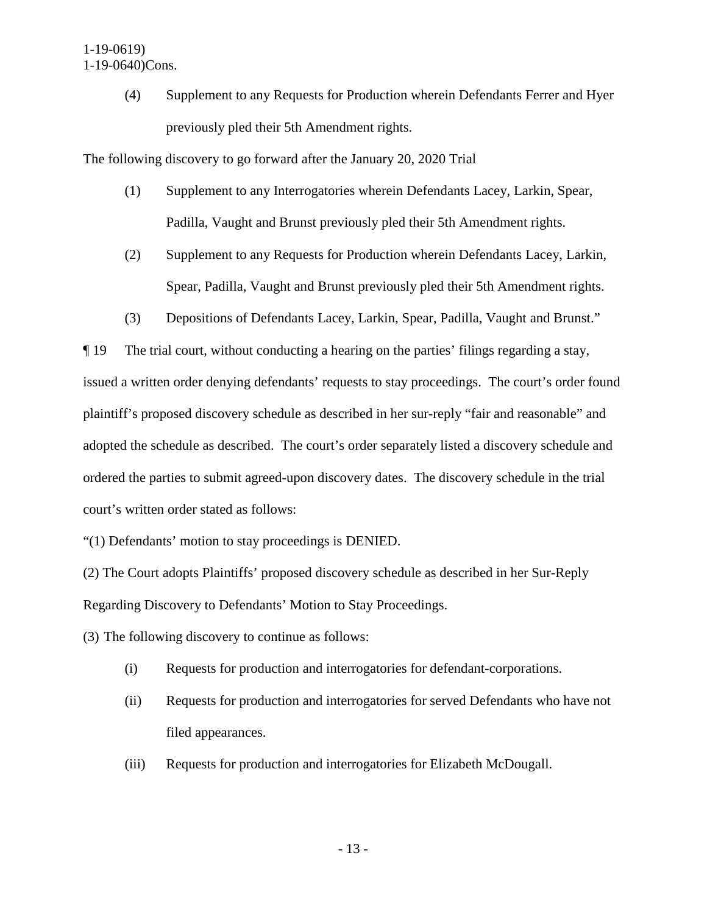(4) Supplement to any Requests for Production wherein Defendants Ferrer and Hyer previously pled their 5th Amendment rights.

The following discovery to go forward after the January 20, 2020 Trial

- (1) Supplement to any Interrogatories wherein Defendants Lacey, Larkin, Spear, Padilla, Vaught and Brunst previously pled their 5th Amendment rights.
- (2) Supplement to any Requests for Production wherein Defendants Lacey, Larkin, Spear, Padilla, Vaught and Brunst previously pled their 5th Amendment rights.
- (3) Depositions of Defendants Lacey, Larkin, Spear, Padilla, Vaught and Brunst."

¶ 19 The trial court, without conducting a hearing on the parties' filings regarding a stay, issued a written order denying defendants' requests to stay proceedings. The court's order found plaintiff's proposed discovery schedule as described in her sur-reply "fair and reasonable" and adopted the schedule as described. The court's order separately listed a discovery schedule and ordered the parties to submit agreed-upon discovery dates. The discovery schedule in the trial court's written order stated as follows:

"(1) Defendants' motion to stay proceedings is DENIED.

(2) The Court adopts Plaintiffs' proposed discovery schedule as described in her Sur-Reply Regarding Discovery to Defendants' Motion to Stay Proceedings.

(3) The following discovery to continue as follows:

- (i) Requests for production and interrogatories for defendant-corporations.
- (ii) Requests for production and interrogatories for served Defendants who have not filed appearances.
- (iii) Requests for production and interrogatories for Elizabeth McDougall.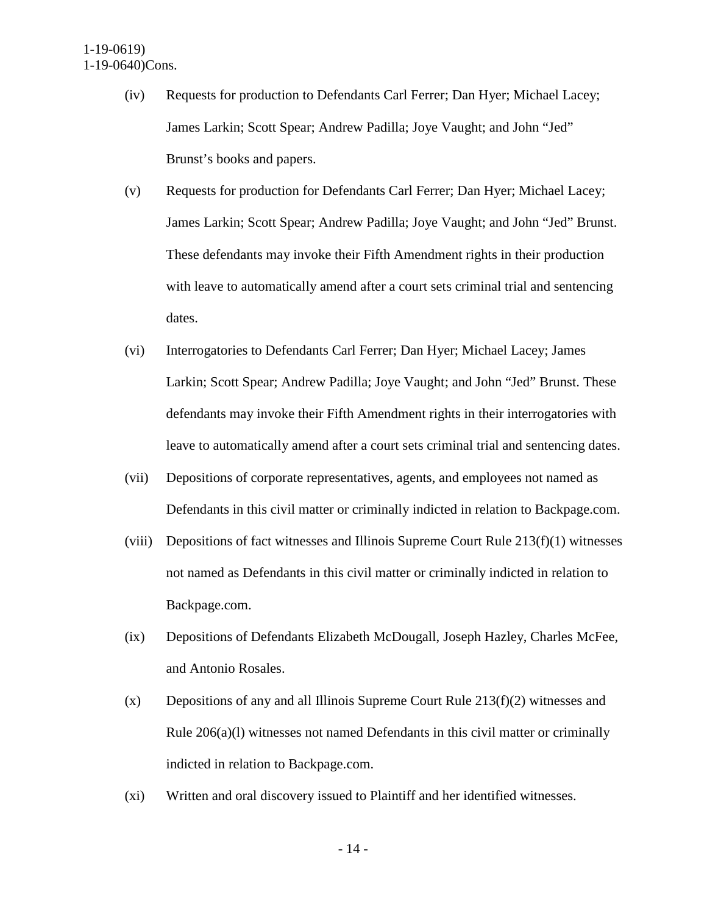- (iv) Requests for production to Defendants Carl Ferrer; Dan Hyer; Michael Lacey; James Larkin; Scott Spear; Andrew Padilla; Joye Vaught; and John "Jed" Brunst's books and papers.
- (v) Requests for production for Defendants Carl Ferrer; Dan Hyer; Michael Lacey; James Larkin; Scott Spear; Andrew Padilla; Joye Vaught; and John "Jed" Brunst. These defendants may invoke their Fifth Amendment rights in their production with leave to automatically amend after a court sets criminal trial and sentencing dates.
- (vi) Interrogatories to Defendants Carl Ferrer; Dan Hyer; Michael Lacey; James Larkin; Scott Spear; Andrew Padilla; Joye Vaught; and John "Jed" Brunst. These defendants may invoke their Fifth Amendment rights in their interrogatories with leave to automatically amend after a court sets criminal trial and sentencing dates.
- (vii) Depositions of corporate representatives, agents, and employees not named as Defendants in this civil matter or criminally indicted in relation to Backpage.com.
- (viii) Depositions of fact witnesses and Illinois Supreme Court Rule 213(f)(1) witnesses not named as Defendants in this civil matter or criminally indicted in relation to Backpage.com.
- (ix) Depositions of Defendants Elizabeth McDougall, Joseph Hazley, Charles McFee, and Antonio Rosales.
- (x) Depositions of any and all Illinois Supreme Court Rule 213(f)(2) witnesses and Rule 206(a)(l) witnesses not named Defendants in this civil matter or criminally indicted in relation to Backpage.com.
- (xi) Written and oral discovery issued to Plaintiff and her identified witnesses.

- 14 -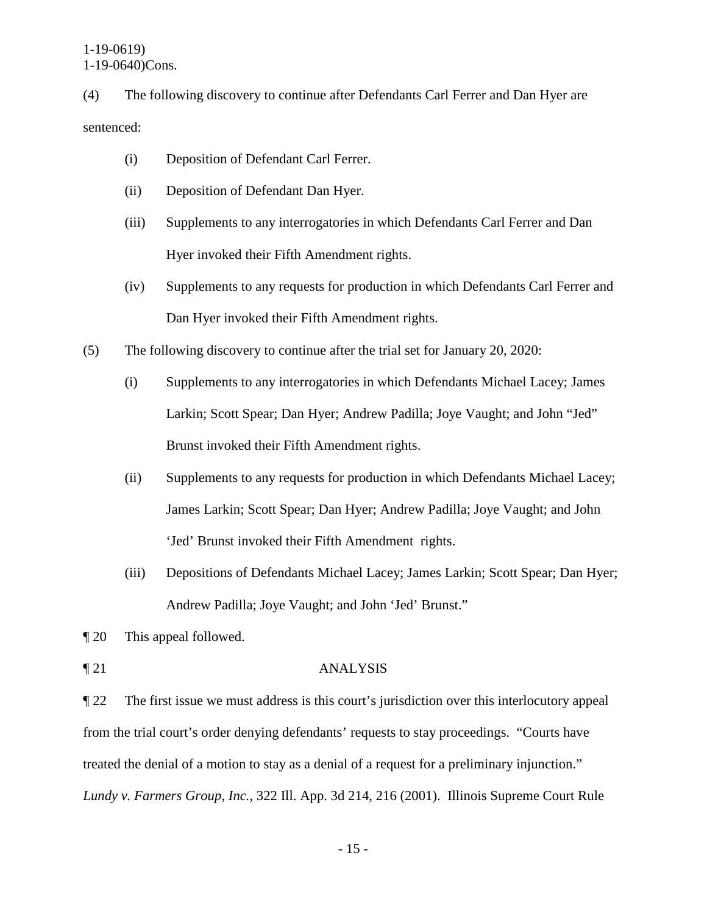(4) The following discovery to continue after Defendants Carl Ferrer and Dan Hyer are sentenced:

- (i) Deposition of Defendant Carl Ferrer.
- (ii) Deposition of Defendant Dan Hyer.
- (iii) Supplements to any interrogatories in which Defendants Carl Ferrer and Dan Hyer invoked their Fifth Amendment rights.
- (iv) Supplements to any requests for production in which Defendants Carl Ferrer and Dan Hyer invoked their Fifth Amendment rights.
- (5) The following discovery to continue after the trial set for January 20, 2020:
	- (i) Supplements to any interrogatories in which Defendants Michael Lacey; James Larkin; Scott Spear; Dan Hyer; Andrew Padilla; Joye Vaught; and John "Jed" Brunst invoked their Fifth Amendment rights.
	- (ii) Supplements to any requests for production in which Defendants Michael Lacey; James Larkin; Scott Spear; Dan Hyer; Andrew Padilla; Joye Vaught; and John 'Jed' Brunst invoked their Fifth Amendment rights.
	- (iii) Depositions of Defendants Michael Lacey; James Larkin; Scott Spear; Dan Hyer; Andrew Padilla; Joye Vaught; and John 'Jed' Brunst."
- ¶ 20 This appeal followed.
- ¶ 21 ANALYSIS

¶ 22 The first issue we must address is this court's jurisdiction over this interlocutory appeal from the trial court's order denying defendants' requests to stay proceedings. "Courts have treated the denial of a motion to stay as a denial of a request for a preliminary injunction." *Lundy v. Farmers Group, Inc.*, 322 Ill. App. 3d 214, 216 (2001). Illinois Supreme Court Rule

- 15 -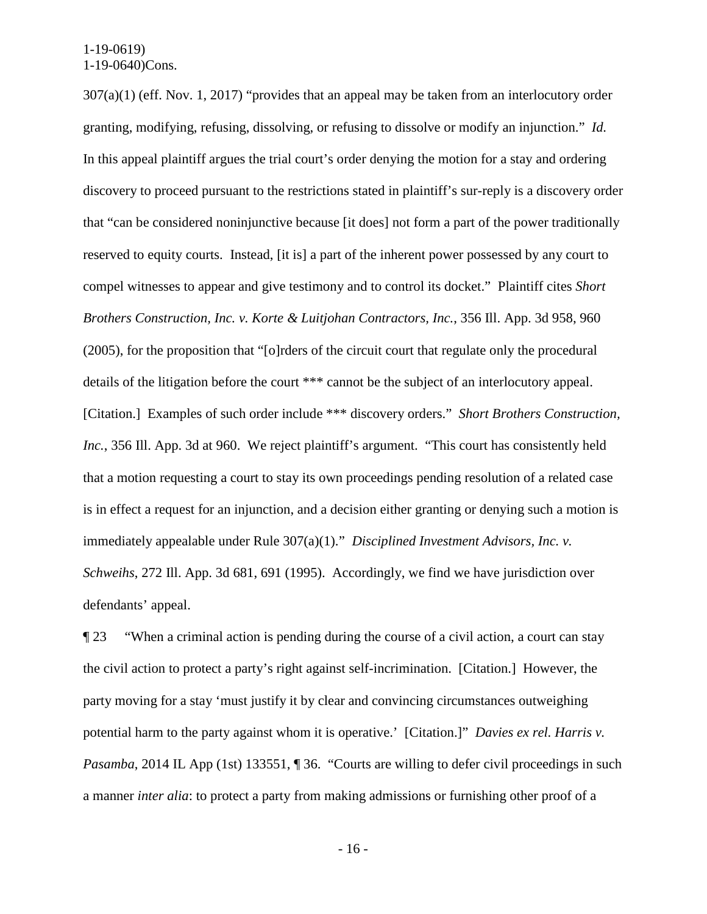307(a)(1) (eff. Nov. 1, 2017) "provides that an appeal may be taken from an interlocutory order granting, modifying, refusing, dissolving, or refusing to dissolve or modify an injunction." *Id.* In this appeal plaintiff argues the trial court's order denying the motion for a stay and ordering discovery to proceed pursuant to the restrictions stated in plaintiff's sur-reply is a discovery order that "can be considered noninjunctive because [it does] not form a part of the power traditionally reserved to equity courts. Instead, [it is] a part of the inherent power possessed by any court to compel witnesses to appear and give testimony and to control its docket." Plaintiff cites *Short Brothers Construction, Inc. v. Korte & Luitjohan Contractors, Inc.*, 356 Ill. App. 3d 958, 960 (2005), for the proposition that "[o]rders of the circuit court that regulate only the procedural details of the litigation before the court \*\*\* cannot be the subject of an interlocutory appeal. [Citation.] Examples of such order include \*\*\* discovery orders." *Short Brothers Construction, Inc.*, 356 Ill. App. 3d at 960. We reject plaintiff's argument. "This court has consistently held that a motion requesting a court to stay its own proceedings pending resolution of a related case is in effect a request for an injunction, and a decision either granting or denying such a motion is immediately appealable under Rule 307(a)(1)." *Disciplined Investment Advisors, Inc. v. Schweihs*, 272 Ill. App. 3d 681, 691 (1995). Accordingly, we find we have jurisdiction over defendants' appeal.

¶ 23 "When a criminal action is pending during the course of a civil action, a court can stay the civil action to protect a party's right against self-incrimination. [Citation.] However, the party moving for a stay 'must justify it by clear and convincing circumstances outweighing potential harm to the party against whom it is operative.' [Citation.]" *Davies ex rel. Harris v. Pasamba*, 2014 IL App (1st) 133551, 1 36. "Courts are willing to defer civil proceedings in such a manner *inter alia*: to protect a party from making admissions or furnishing other proof of a

- 16 -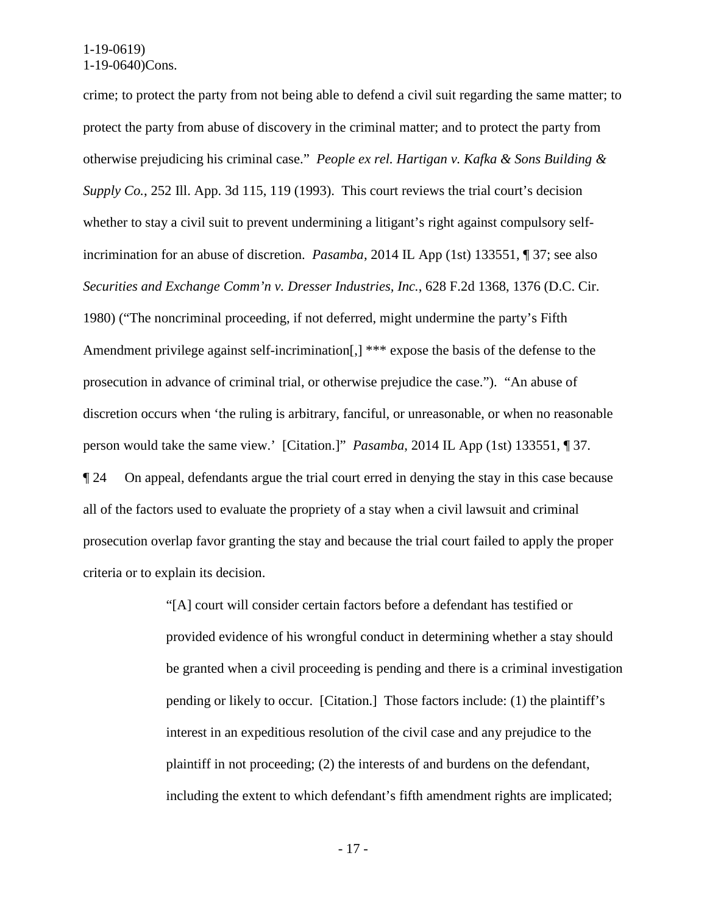crime; to protect the party from not being able to defend a civil suit regarding the same matter; to protect the party from abuse of discovery in the criminal matter; and to protect the party from otherwise prejudicing his criminal case." *People ex rel. Hartigan v. Kafka & Sons Building & Supply Co.*, 252 Ill. App. 3d 115, 119 (1993). This court reviews the trial court's decision whether to stay a civil suit to prevent undermining a litigant's right against compulsory selfincrimination for an abuse of discretion. *Pasamba*, 2014 IL App (1st) 133551, ¶ 37; see also *Securities and Exchange Comm'n v. Dresser Industries, Inc.*, 628 F.2d 1368, 1376 (D.C. Cir. 1980) ("The noncriminal proceeding, if not deferred, might undermine the party's Fifth Amendment privilege against self-incrimination [1] \*\*\* expose the basis of the defense to the prosecution in advance of criminal trial, or otherwise prejudice the case."). "An abuse of discretion occurs when 'the ruling is arbitrary, fanciful, or unreasonable, or when no reasonable person would take the same view.' [Citation.]" *Pasamba*, 2014 IL App (1st) 133551, ¶ 37. ¶ 24 On appeal, defendants argue the trial court erred in denying the stay in this case because all of the factors used to evaluate the propriety of a stay when a civil lawsuit and criminal prosecution overlap favor granting the stay and because the trial court failed to apply the proper criteria or to explain its decision.

> "[A] court will consider certain factors before a defendant has testified or provided evidence of his wrongful conduct in determining whether a stay should be granted when a civil proceeding is pending and there is a criminal investigation pending or likely to occur. [Citation.] Those factors include: (1) the plaintiff's interest in an expeditious resolution of the civil case and any prejudice to the plaintiff in not proceeding; (2) the interests of and burdens on the defendant, including the extent to which defendant's fifth amendment rights are implicated;

> > - 17 -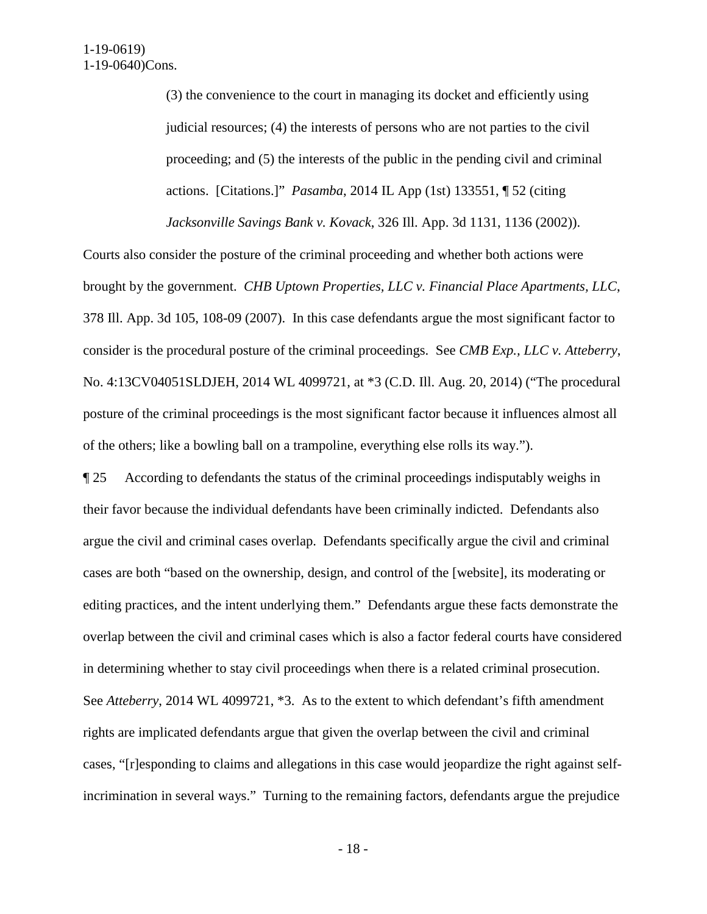(3) the convenience to the court in managing its docket and efficiently using judicial resources; (4) the interests of persons who are not parties to the civil proceeding; and (5) the interests of the public in the pending civil and criminal actions. [Citations.]" *Pasamba*, 2014 IL App (1st) 133551, ¶ 52 (citing *Jacksonville Savings Bank v. Kovack*, 326 Ill. App. 3d 1131, 1136 (2002)).

Courts also consider the posture of the criminal proceeding and whether both actions were brought by the government. *CHB Uptown Properties, LLC v. Financial Place Apartments, LLC*, 378 Ill. App. 3d 105, 108-09 (2007). In this case defendants argue the most significant factor to consider is the procedural posture of the criminal proceedings. See *CMB Exp., LLC v. Atteberry*, No. 4:13CV04051SLDJEH, 2014 WL 4099721, at \*3 (C.D. Ill. Aug. 20, 2014) ("The procedural posture of the criminal proceedings is the most significant factor because it influences almost all of the others; like a bowling ball on a trampoline, everything else rolls its way.").

¶ 25 According to defendants the status of the criminal proceedings indisputably weighs in their favor because the individual defendants have been criminally indicted. Defendants also argue the civil and criminal cases overlap. Defendants specifically argue the civil and criminal cases are both "based on the ownership, design, and control of the [website], its moderating or editing practices, and the intent underlying them." Defendants argue these facts demonstrate the overlap between the civil and criminal cases which is also a factor federal courts have considered in determining whether to stay civil proceedings when there is a related criminal prosecution. See *Atteberry*, 2014 WL 4099721, \*3. As to the extent to which defendant's fifth amendment rights are implicated defendants argue that given the overlap between the civil and criminal cases, "[r]esponding to claims and allegations in this case would jeopardize the right against selfincrimination in several ways." Turning to the remaining factors, defendants argue the prejudice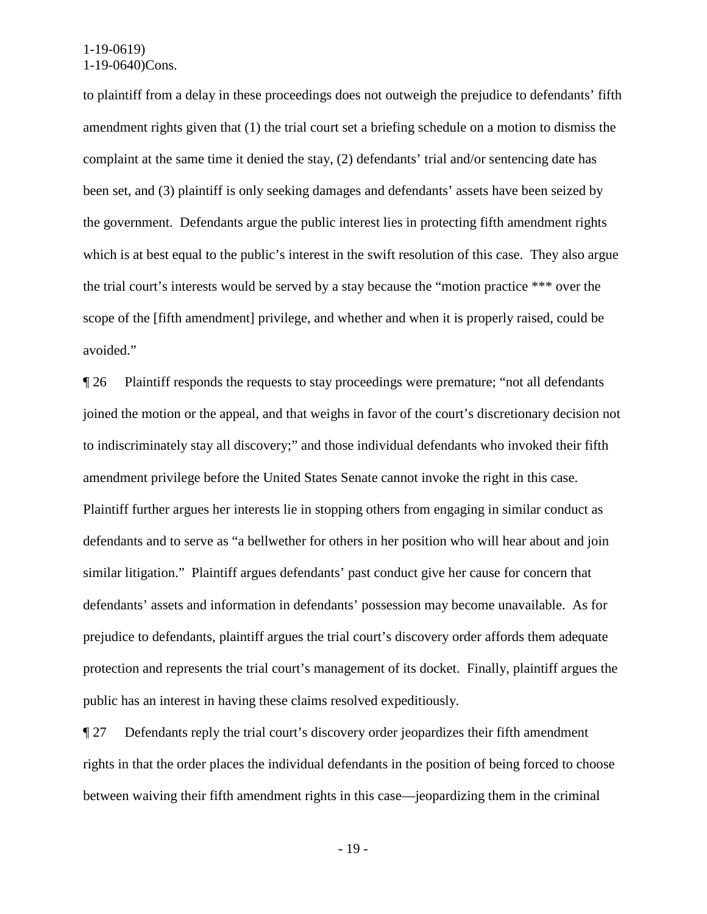to plaintiff from a delay in these proceedings does not outweigh the prejudice to defendants' fifth amendment rights given that (1) the trial court set a briefing schedule on a motion to dismiss the complaint at the same time it denied the stay, (2) defendants' trial and/or sentencing date has been set, and (3) plaintiff is only seeking damages and defendants' assets have been seized by the government. Defendants argue the public interest lies in protecting fifth amendment rights which is at best equal to the public's interest in the swift resolution of this case. They also argue the trial court's interests would be served by a stay because the "motion practice \*\*\* over the scope of the [fifth amendment] privilege, and whether and when it is properly raised, could be avoided."

¶ 26 Plaintiff responds the requests to stay proceedings were premature; "not all defendants joined the motion or the appeal, and that weighs in favor of the court's discretionary decision not to indiscriminately stay all discovery;" and those individual defendants who invoked their fifth amendment privilege before the United States Senate cannot invoke the right in this case. Plaintiff further argues her interests lie in stopping others from engaging in similar conduct as defendants and to serve as "a bellwether for others in her position who will hear about and join similar litigation." Plaintiff argues defendants' past conduct give her cause for concern that defendants' assets and information in defendants' possession may become unavailable. As for prejudice to defendants, plaintiff argues the trial court's discovery order affords them adequate protection and represents the trial court's management of its docket. Finally, plaintiff argues the public has an interest in having these claims resolved expeditiously.

¶ 27 Defendants reply the trial court's discovery order jeopardizes their fifth amendment rights in that the order places the individual defendants in the position of being forced to choose between waiving their fifth amendment rights in this case—jeopardizing them in the criminal

- 19 -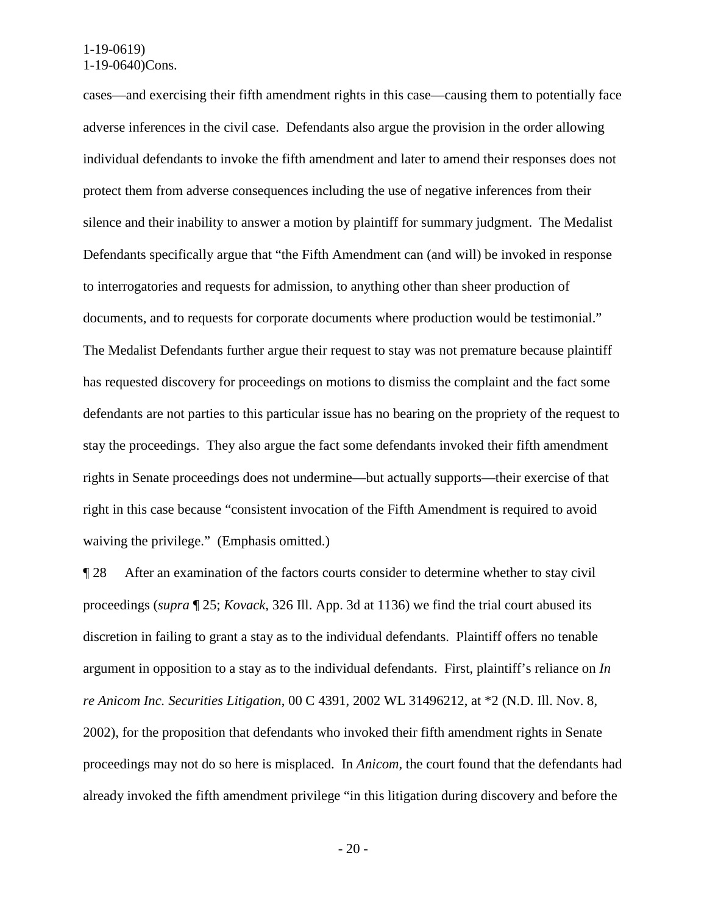cases—and exercising their fifth amendment rights in this case—causing them to potentially face adverse inferences in the civil case. Defendants also argue the provision in the order allowing individual defendants to invoke the fifth amendment and later to amend their responses does not protect them from adverse consequences including the use of negative inferences from their silence and their inability to answer a motion by plaintiff for summary judgment. The Medalist Defendants specifically argue that "the Fifth Amendment can (and will) be invoked in response to interrogatories and requests for admission, to anything other than sheer production of documents, and to requests for corporate documents where production would be testimonial." The Medalist Defendants further argue their request to stay was not premature because plaintiff has requested discovery for proceedings on motions to dismiss the complaint and the fact some defendants are not parties to this particular issue has no bearing on the propriety of the request to stay the proceedings. They also argue the fact some defendants invoked their fifth amendment rights in Senate proceedings does not undermine—but actually supports—their exercise of that right in this case because "consistent invocation of the Fifth Amendment is required to avoid waiving the privilege." (Emphasis omitted.)

¶ 28 After an examination of the factors courts consider to determine whether to stay civil proceedings (*supra* ¶ 25; *Kovack*, 326 Ill. App. 3d at 1136) we find the trial court abused its discretion in failing to grant a stay as to the individual defendants. Plaintiff offers no tenable argument in opposition to a stay as to the individual defendants. First, plaintiff's reliance on *In re Anicom Inc. Securities Litigation*, 00 C 4391, 2002 WL 31496212, at \*2 (N.D. Ill. Nov. 8, 2002), for the proposition that defendants who invoked their fifth amendment rights in Senate proceedings may not do so here is misplaced. In *Anicom*, the court found that the defendants had already invoked the fifth amendment privilege "in this litigation during discovery and before the

- 20 -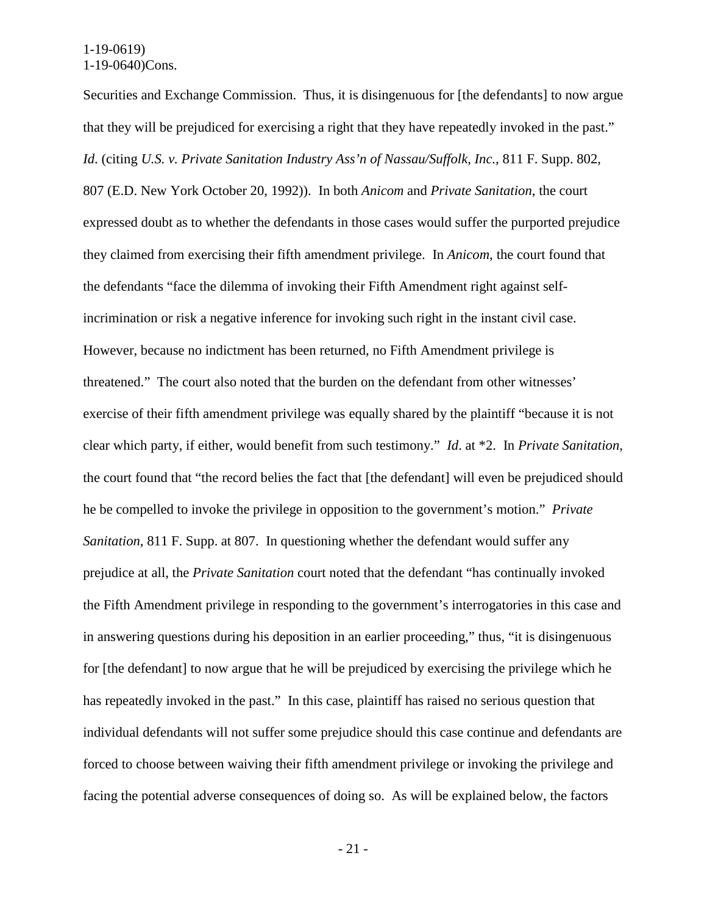Securities and Exchange Commission. Thus, it is disingenuous for [the defendants] to now argue that they will be prejudiced for exercising a right that they have repeatedly invoked in the past." *Id*. (citing *U.S. v. Private Sanitation Industry Ass'n of Nassau/Suffolk, Inc.*, 811 F. Supp. 802, 807 (E.D. New York October 20, 1992)). In both *Anicom* and *Private Sanitation*, the court expressed doubt as to whether the defendants in those cases would suffer the purported prejudice they claimed from exercising their fifth amendment privilege. In *Anicom*, the court found that the defendants "face the dilemma of invoking their Fifth Amendment right against selfincrimination or risk a negative inference for invoking such right in the instant civil case. However, because no indictment has been returned, no Fifth Amendment privilege is threatened." The court also noted that the burden on the defendant from other witnesses' exercise of their fifth amendment privilege was equally shared by the plaintiff "because it is not clear which party, if either, would benefit from such testimony." *Id*. at \*2. In *Private Sanitation*, the court found that "the record belies the fact that [the defendant] will even be prejudiced should he be compelled to invoke the privilege in opposition to the government's motion." *Private Sanitation*, 811 F. Supp. at 807. In questioning whether the defendant would suffer any prejudice at all, the *Private Sanitation* court noted that the defendant "has continually invoked the Fifth Amendment privilege in responding to the government's interrogatories in this case and in answering questions during his deposition in an earlier proceeding," thus, "it is disingenuous for [the defendant] to now argue that he will be prejudiced by exercising the privilege which he has repeatedly invoked in the past." In this case, plaintiff has raised no serious question that individual defendants will not suffer some prejudice should this case continue and defendants are forced to choose between waiving their fifth amendment privilege or invoking the privilege and facing the potential adverse consequences of doing so. As will be explained below, the factors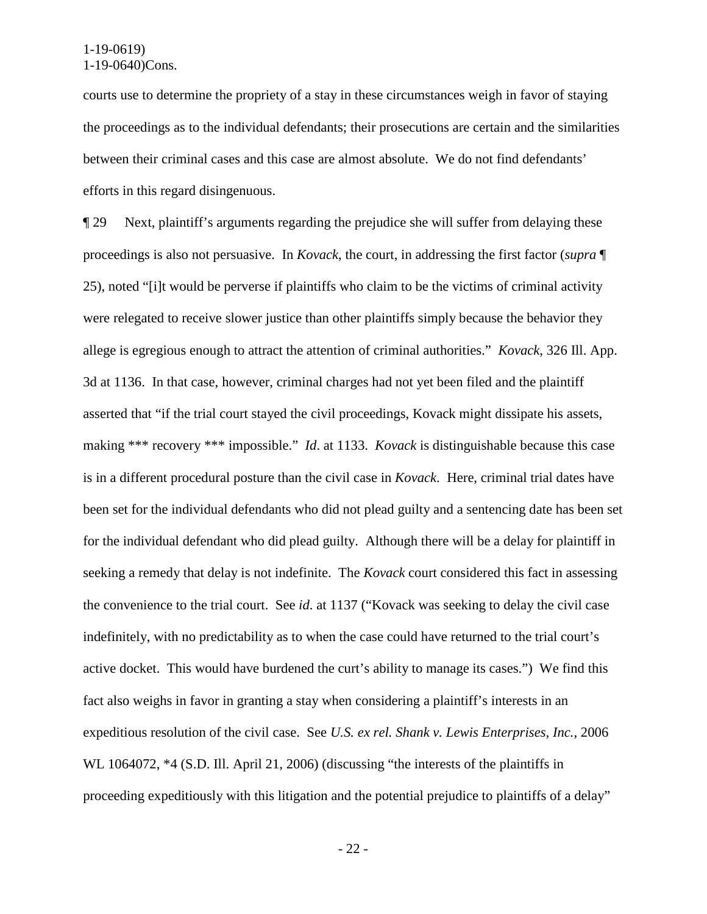courts use to determine the propriety of a stay in these circumstances weigh in favor of staying the proceedings as to the individual defendants; their prosecutions are certain and the similarities between their criminal cases and this case are almost absolute. We do not find defendants' efforts in this regard disingenuous.

¶ 29 Next, plaintiff's arguments regarding the prejudice she will suffer from delaying these proceedings is also not persuasive. In *Kovack*, the court, in addressing the first factor (*supra* ¶ 25), noted "[i]t would be perverse if plaintiffs who claim to be the victims of criminal activity were relegated to receive slower justice than other plaintiffs simply because the behavior they allege is egregious enough to attract the attention of criminal authorities." *Kovack*, 326 Ill. App. 3d at 1136. In that case, however, criminal charges had not yet been filed and the plaintiff asserted that "if the trial court stayed the civil proceedings, Kovack might dissipate his assets, making \*\*\* recovery \*\*\* impossible." *Id*. at 1133. *Kovack* is distinguishable because this case is in a different procedural posture than the civil case in *Kovack*. Here, criminal trial dates have been set for the individual defendants who did not plead guilty and a sentencing date has been set for the individual defendant who did plead guilty. Although there will be a delay for plaintiff in seeking a remedy that delay is not indefinite. The *Kovack* court considered this fact in assessing the convenience to the trial court. See *id*. at 1137 ("Kovack was seeking to delay the civil case indefinitely, with no predictability as to when the case could have returned to the trial court's active docket. This would have burdened the curt's ability to manage its cases.") We find this fact also weighs in favor in granting a stay when considering a plaintiff's interests in an expeditious resolution of the civil case. See *U.S. ex rel. Shank v. Lewis Enterprises, Inc.*, 2006 WL 1064072,  $*4$  (S.D. Ill. April 21, 2006) (discussing "the interests of the plaintiffs in proceeding expeditiously with this litigation and the potential prejudice to plaintiffs of a delay"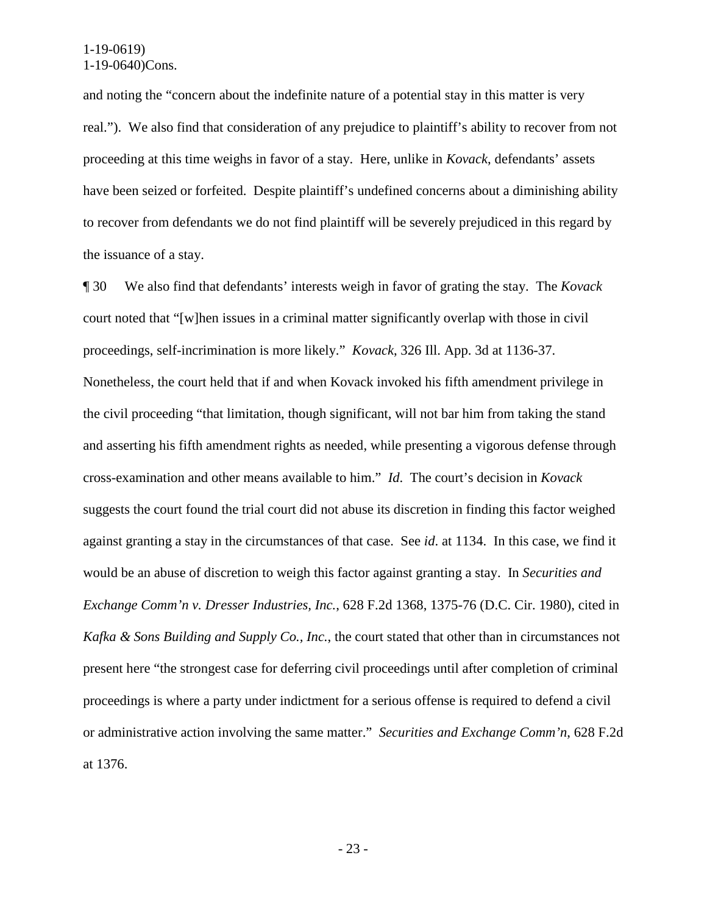and noting the "concern about the indefinite nature of a potential stay in this matter is very real."). We also find that consideration of any prejudice to plaintiff's ability to recover from not proceeding at this time weighs in favor of a stay. Here, unlike in *Kovack*, defendants' assets have been seized or forfeited. Despite plaintiff's undefined concerns about a diminishing ability to recover from defendants we do not find plaintiff will be severely prejudiced in this regard by the issuance of a stay.

¶ 30 We also find that defendants' interests weigh in favor of grating the stay. The *Kovack* court noted that "[w]hen issues in a criminal matter significantly overlap with those in civil proceedings, self-incrimination is more likely." *Kovack*, 326 Ill. App. 3d at 1136-37. Nonetheless, the court held that if and when Kovack invoked his fifth amendment privilege in the civil proceeding "that limitation, though significant, will not bar him from taking the stand and asserting his fifth amendment rights as needed, while presenting a vigorous defense through cross-examination and other means available to him." *Id*. The court's decision in *Kovack* suggests the court found the trial court did not abuse its discretion in finding this factor weighed against granting a stay in the circumstances of that case. See *id*. at 1134. In this case, we find it would be an abuse of discretion to weigh this factor against granting a stay. In *Securities and Exchange Comm'n v. Dresser Industries, Inc.*, 628 F.2d 1368, 1375-76 (D.C. Cir. 1980), cited in *Kafka & Sons Building and Supply Co., Inc.*, the court stated that other than in circumstances not present here "the strongest case for deferring civil proceedings until after completion of criminal proceedings is where a party under indictment for a serious offense is required to defend a civil or administrative action involving the same matter." *Securities and Exchange Comm'n*, 628 F.2d at 1376.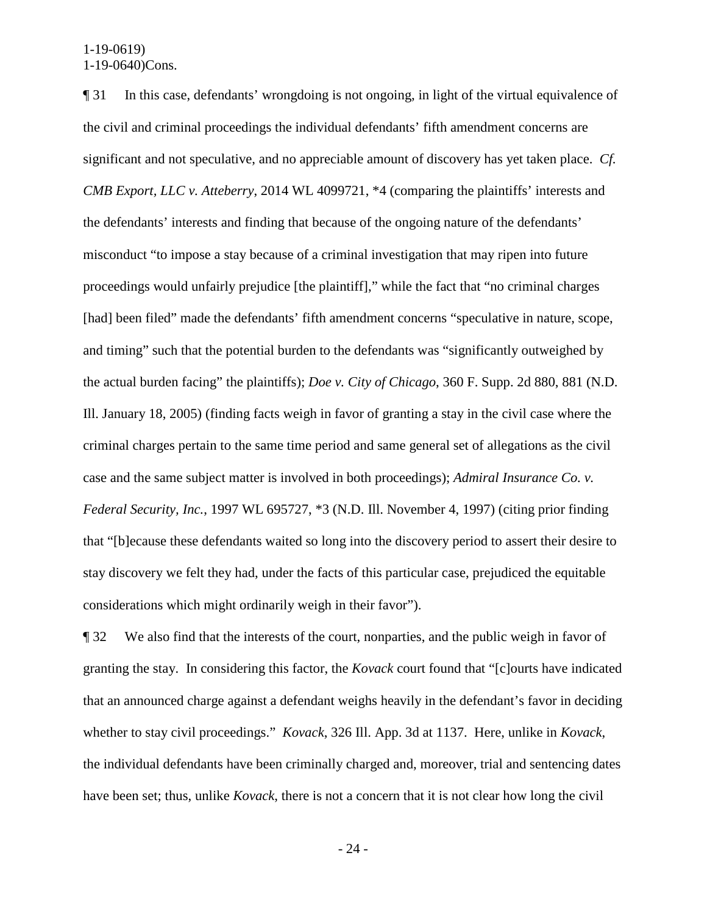¶ 31 In this case, defendants' wrongdoing is not ongoing, in light of the virtual equivalence of the civil and criminal proceedings the individual defendants' fifth amendment concerns are significant and not speculative, and no appreciable amount of discovery has yet taken place. *Cf. CMB Export, LLC v. Atteberry*, 2014 WL 4099721, \*4 (comparing the plaintiffs' interests and the defendants' interests and finding that because of the ongoing nature of the defendants' misconduct "to impose a stay because of a criminal investigation that may ripen into future proceedings would unfairly prejudice [the plaintiff]," while the fact that "no criminal charges [had] been filed" made the defendants' fifth amendment concerns "speculative in nature, scope, and timing" such that the potential burden to the defendants was "significantly outweighed by the actual burden facing" the plaintiffs); *Doe v. City of Chicago*, 360 F. Supp. 2d 880, 881 (N.D. Ill. January 18, 2005) (finding facts weigh in favor of granting a stay in the civil case where the criminal charges pertain to the same time period and same general set of allegations as the civil case and the same subject matter is involved in both proceedings); *Admiral Insurance Co. v. Federal Security, Inc.*, 1997 WL 695727, \*3 (N.D. Ill. November 4, 1997) (citing prior finding that "[b]ecause these defendants waited so long into the discovery period to assert their desire to stay discovery we felt they had, under the facts of this particular case, prejudiced the equitable considerations which might ordinarily weigh in their favor").

¶ 32 We also find that the interests of the court, nonparties, and the public weigh in favor of granting the stay. In considering this factor, the *Kovack* court found that "[c]ourts have indicated that an announced charge against a defendant weighs heavily in the defendant's favor in deciding whether to stay civil proceedings." *Kovack*, 326 Ill. App. 3d at 1137. Here, unlike in *Kovack*, the individual defendants have been criminally charged and, moreover, trial and sentencing dates have been set; thus, unlike *Kovack*, there is not a concern that it is not clear how long the civil

- 24 -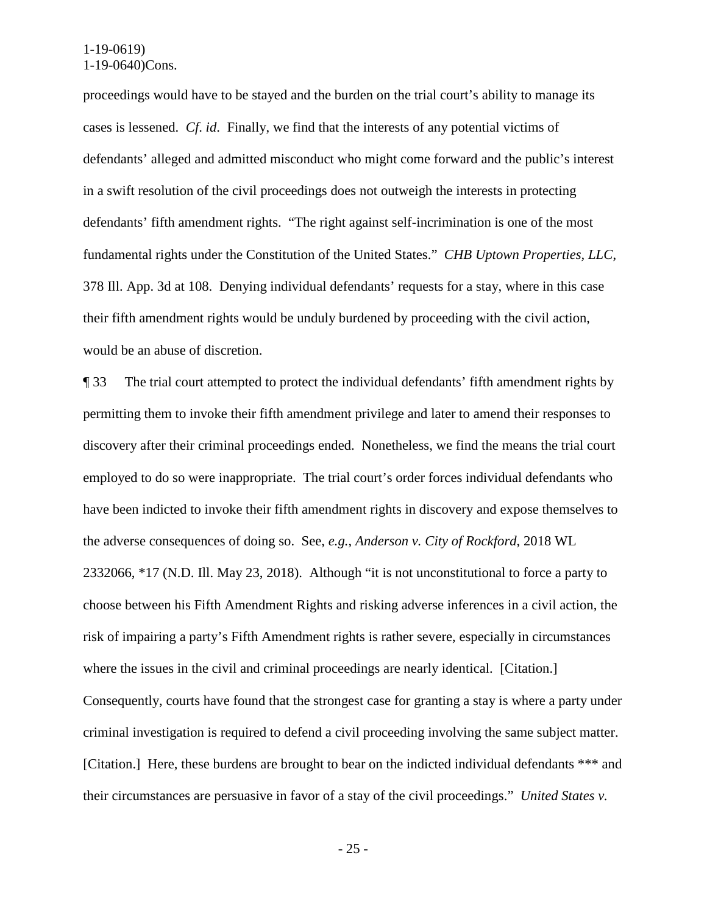proceedings would have to be stayed and the burden on the trial court's ability to manage its cases is lessened. *Cf*. *id*. Finally, we find that the interests of any potential victims of defendants' alleged and admitted misconduct who might come forward and the public's interest in a swift resolution of the civil proceedings does not outweigh the interests in protecting defendants' fifth amendment rights. "The right against self-incrimination is one of the most fundamental rights under the Constitution of the United States." *CHB Uptown Properties, LLC*, 378 Ill. App. 3d at 108. Denying individual defendants' requests for a stay, where in this case their fifth amendment rights would be unduly burdened by proceeding with the civil action, would be an abuse of discretion.

¶ 33 The trial court attempted to protect the individual defendants' fifth amendment rights by permitting them to invoke their fifth amendment privilege and later to amend their responses to discovery after their criminal proceedings ended. Nonetheless, we find the means the trial court employed to do so were inappropriate. The trial court's order forces individual defendants who have been indicted to invoke their fifth amendment rights in discovery and expose themselves to the adverse consequences of doing so. See, *e.g.*, *Anderson v. City of Rockford*, 2018 WL 2332066, \*17 (N.D. Ill. May 23, 2018). Although "it is not unconstitutional to force a party to choose between his Fifth Amendment Rights and risking adverse inferences in a civil action, the risk of impairing a party's Fifth Amendment rights is rather severe, especially in circumstances where the issues in the civil and criminal proceedings are nearly identical. [Citation.] Consequently, courts have found that the strongest case for granting a stay is where a party under criminal investigation is required to defend a civil proceeding involving the same subject matter. [Citation.] Here, these burdens are brought to bear on the indicted individual defendants \*\*\* and their circumstances are persuasive in favor of a stay of the civil proceedings." *United States v.*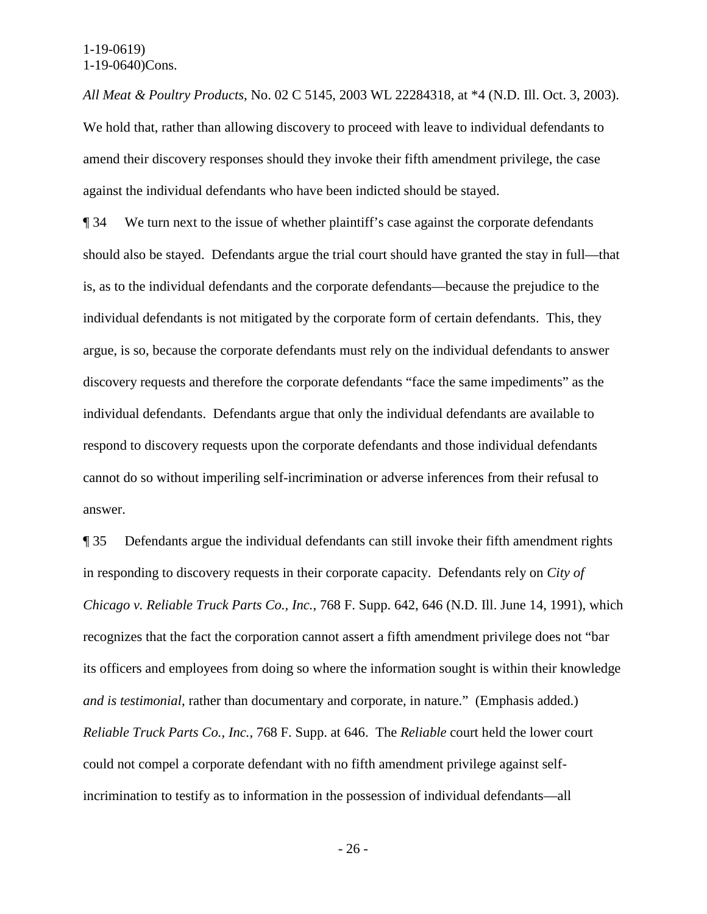*All Meat & Poultry Products*, No. 02 C 5145, 2003 WL 22284318, at \*4 (N.D. Ill. Oct. 3, 2003). We hold that, rather than allowing discovery to proceed with leave to individual defendants to amend their discovery responses should they invoke their fifth amendment privilege, the case against the individual defendants who have been indicted should be stayed.

¶ 34 We turn next to the issue of whether plaintiff's case against the corporate defendants should also be stayed. Defendants argue the trial court should have granted the stay in full—that is, as to the individual defendants and the corporate defendants—because the prejudice to the individual defendants is not mitigated by the corporate form of certain defendants. This, they argue, is so, because the corporate defendants must rely on the individual defendants to answer discovery requests and therefore the corporate defendants "face the same impediments" as the individual defendants. Defendants argue that only the individual defendants are available to respond to discovery requests upon the corporate defendants and those individual defendants cannot do so without imperiling self-incrimination or adverse inferences from their refusal to answer.

¶ 35 Defendants argue the individual defendants can still invoke their fifth amendment rights in responding to discovery requests in their corporate capacity. Defendants rely on *City of Chicago v. Reliable Truck Parts Co., Inc.*, 768 F. Supp. 642, 646 (N.D. Ill. June 14, 1991), which recognizes that the fact the corporation cannot assert a fifth amendment privilege does not "bar its officers and employees from doing so where the information sought is within their knowledge *and is testimonial*, rather than documentary and corporate, in nature." (Emphasis added.) *Reliable Truck Parts Co., Inc.*, 768 F. Supp. at 646. The *Reliable* court held the lower court could not compel a corporate defendant with no fifth amendment privilege against selfincrimination to testify as to information in the possession of individual defendants—all

- 26 -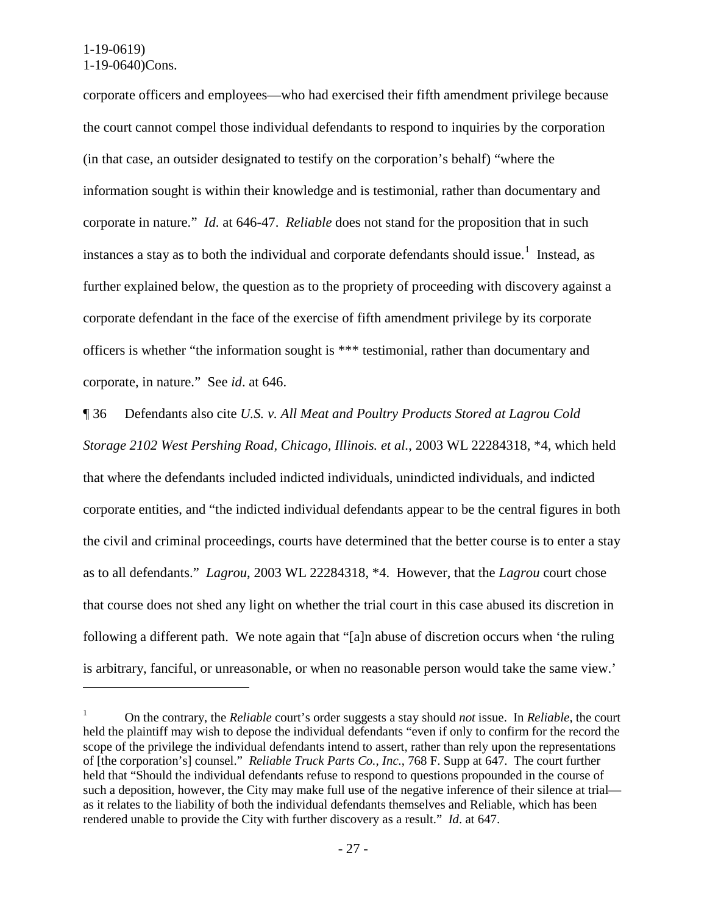$\overline{a}$ 

corporate officers and employees—who had exercised their fifth amendment privilege because the court cannot compel those individual defendants to respond to inquiries by the corporation (in that case, an outsider designated to testify on the corporation's behalf) "where the information sought is within their knowledge and is testimonial, rather than documentary and corporate in nature." *Id*. at 646-47. *Reliable* does not stand for the proposition that in such instances a stay as to both the individual and corporate defendants should issue.<sup>[1](#page-26-0)</sup> Instead, as further explained below, the question as to the propriety of proceeding with discovery against a corporate defendant in the face of the exercise of fifth amendment privilege by its corporate officers is whether "the information sought is \*\*\* testimonial, rather than documentary and corporate, in nature." See *id*. at 646.

¶ 36 Defendants also cite *U.S. v. All Meat and Poultry Products Stored at Lagrou Cold Storage 2102 West Pershing Road, Chicago, Illinois. et al.*, 2003 WL 22284318, \*4, which held that where the defendants included indicted individuals, unindicted individuals, and indicted corporate entities, and "the indicted individual defendants appear to be the central figures in both the civil and criminal proceedings, courts have determined that the better course is to enter a stay as to all defendants." *Lagrou*, 2003 WL 22284318, \*4. However, that the *Lagrou* court chose that course does not shed any light on whether the trial court in this case abused its discretion in following a different path. We note again that "[a]n abuse of discretion occurs when 'the ruling is arbitrary, fanciful, or unreasonable, or when no reasonable person would take the same view.'

<span id="page-26-0"></span><sup>1</sup> On the contrary, the *Reliable* court's order suggests a stay should *not* issue. In *Reliable*, the court held the plaintiff may wish to depose the individual defendants "even if only to confirm for the record the scope of the privilege the individual defendants intend to assert, rather than rely upon the representations of [the corporation's] counsel." *Reliable Truck Parts Co., Inc.*, 768 F. Supp at 647. The court further held that "Should the individual defendants refuse to respond to questions propounded in the course of such a deposition, however, the City may make full use of the negative inference of their silence at trial as it relates to the liability of both the individual defendants themselves and Reliable, which has been rendered unable to provide the City with further discovery as a result." *Id*. at 647.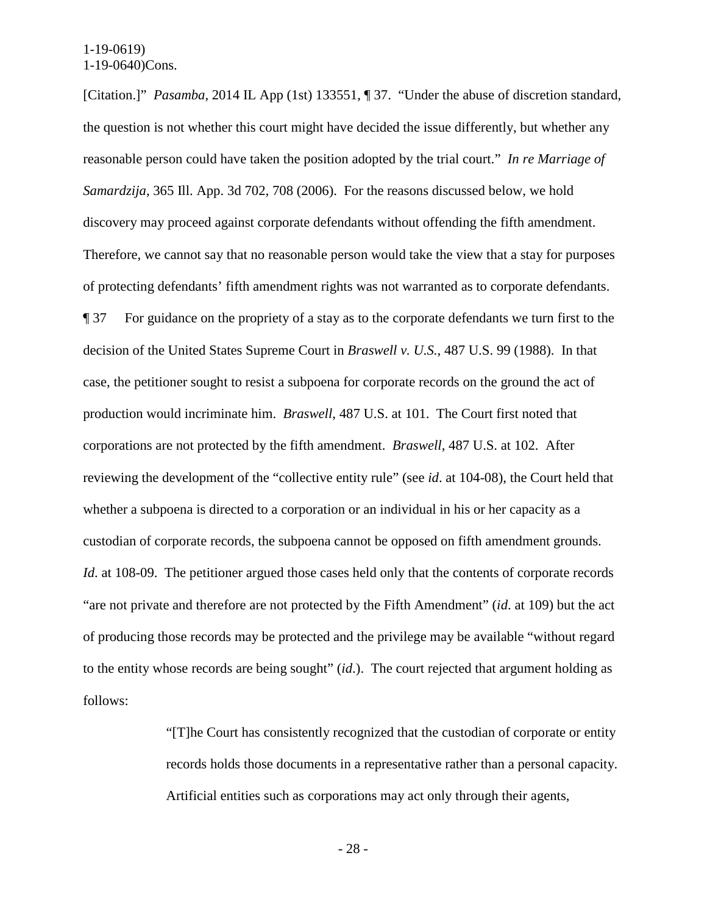[Citation.]" *Pasamba*, 2014 IL App (1st) 133551, ¶ 37. "Under the abuse of discretion standard, the question is not whether this court might have decided the issue differently, but whether any reasonable person could have taken the position adopted by the trial court." *In re Marriage of Samardzija*, 365 Ill. App. 3d 702, 708 (2006). For the reasons discussed below, we hold discovery may proceed against corporate defendants without offending the fifth amendment. Therefore, we cannot say that no reasonable person would take the view that a stay for purposes of protecting defendants' fifth amendment rights was not warranted as to corporate defendants. ¶ 37 For guidance on the propriety of a stay as to the corporate defendants we turn first to the decision of the United States Supreme Court in *Braswell v. U.S.*, 487 U.S. 99 (1988). In that case, the petitioner sought to resist a subpoena for corporate records on the ground the act of production would incriminate him. *Braswell*, 487 U.S. at 101. The Court first noted that corporations are not protected by the fifth amendment. *Braswell*, 487 U.S. at 102. After reviewing the development of the "collective entity rule" (see *id*. at 104-08), the Court held that whether a subpoena is directed to a corporation or an individual in his or her capacity as a custodian of corporate records, the subpoena cannot be opposed on fifth amendment grounds. *Id.* at 108-09. The petitioner argued those cases held only that the contents of corporate records "are not private and therefore are not protected by the Fifth Amendment" (*id*. at 109) but the act of producing those records may be protected and the privilege may be available "without regard to the entity whose records are being sought" (*id*.). The court rejected that argument holding as follows:

> "[T]he Court has consistently recognized that the custodian of corporate or entity records holds those documents in a representative rather than a personal capacity. Artificial entities such as corporations may act only through their agents,

> > - 28 -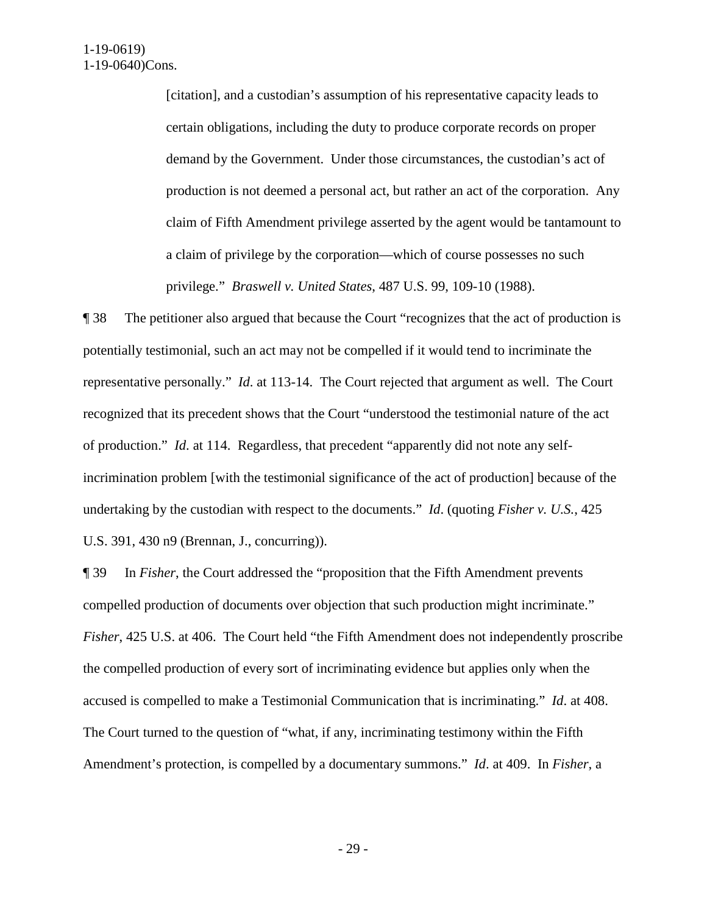[citation], and a custodian's assumption of his representative capacity leads to certain obligations, including the duty to produce corporate records on proper demand by the Government. Under those circumstances, the custodian's act of production is not deemed a personal act, but rather an act of the corporation. Any claim of Fifth Amendment privilege asserted by the agent would be tantamount to a claim of privilege by the corporation—which of course possesses no such privilege." *Braswell v. United States*, 487 U.S. 99, 109-10 (1988).

¶ 38 The petitioner also argued that because the Court "recognizes that the act of production is potentially testimonial, such an act may not be compelled if it would tend to incriminate the representative personally." *Id*. at 113-14. The Court rejected that argument as well. The Court recognized that its precedent shows that the Court "understood the testimonial nature of the act of production." *Id*. at 114. Regardless, that precedent "apparently did not note any selfincrimination problem [with the testimonial significance of the act of production] because of the undertaking by the custodian with respect to the documents." *Id*. (quoting *Fisher v. U.S.*, 425 U.S. 391, 430 n9 (Brennan, J., concurring)).

¶ 39 In *Fisher*, the Court addressed the "proposition that the Fifth Amendment prevents compelled production of documents over objection that such production might incriminate." *Fisher*, 425 U.S. at 406. The Court held "the Fifth Amendment does not independently proscribe the compelled production of every sort of incriminating evidence but applies only when the accused is compelled to make a Testimonial Communication that is incriminating." *Id*. at 408. The Court turned to the question of "what, if any, incriminating testimony within the Fifth Amendment's protection, is compelled by a documentary summons." *Id*. at 409. In *Fisher*, a

- 29 -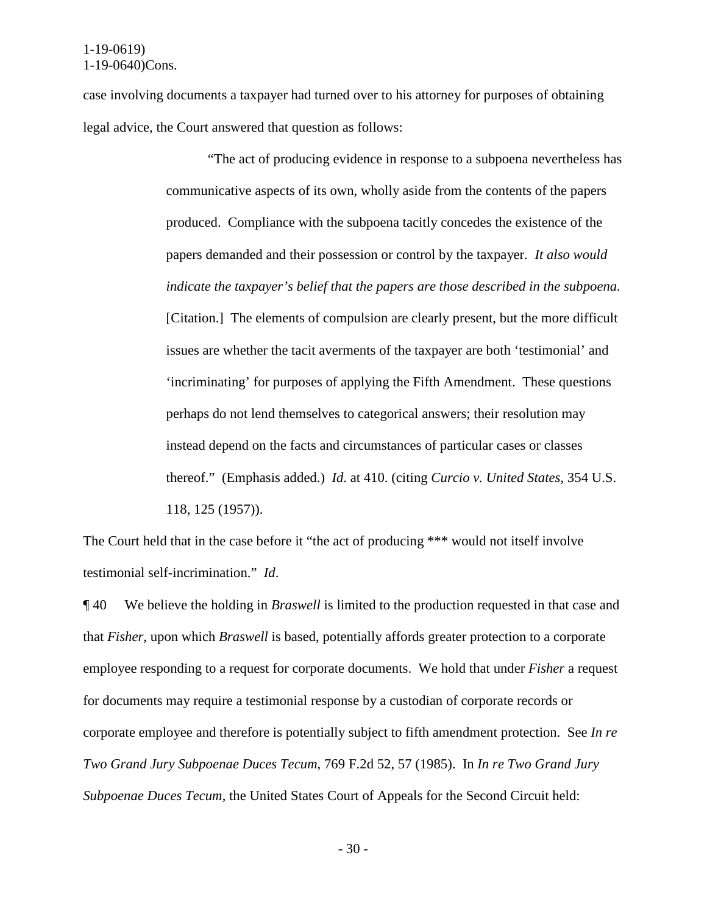case involving documents a taxpayer had turned over to his attorney for purposes of obtaining legal advice, the Court answered that question as follows:

> "The act of producing evidence in response to a subpoena nevertheless has communicative aspects of its own, wholly aside from the contents of the papers produced. Compliance with the subpoena tacitly concedes the existence of the papers demanded and their possession or control by the taxpayer. *It also would indicate the taxpayer's belief that the papers are those described in the subpoena.* [Citation.] The elements of compulsion are clearly present, but the more difficult issues are whether the tacit averments of the taxpayer are both 'testimonial' and 'incriminating' for purposes of applying the Fifth Amendment. These questions perhaps do not lend themselves to categorical answers; their resolution may instead depend on the facts and circumstances of particular cases or classes thereof." (Emphasis added.) *Id*. at 410. (citing *Curcio v. United States*, 354 U.S. 118, 125 (1957)).

The Court held that in the case before it "the act of producing \*\*\* would not itself involve testimonial self-incrimination." *Id*.

¶ 40 We believe the holding in *Braswell* is limited to the production requested in that case and that *Fisher*, upon which *Braswell* is based, potentially affords greater protection to a corporate employee responding to a request for corporate documents. We hold that under *Fisher* a request for documents may require a testimonial response by a custodian of corporate records or corporate employee and therefore is potentially subject to fifth amendment protection. See *In re Two Grand Jury Subpoenae Duces Tecum*, 769 F.2d 52, 57 (1985). In *In re Two Grand Jury Subpoenae Duces Tecum*, the United States Court of Appeals for the Second Circuit held:

- 30 -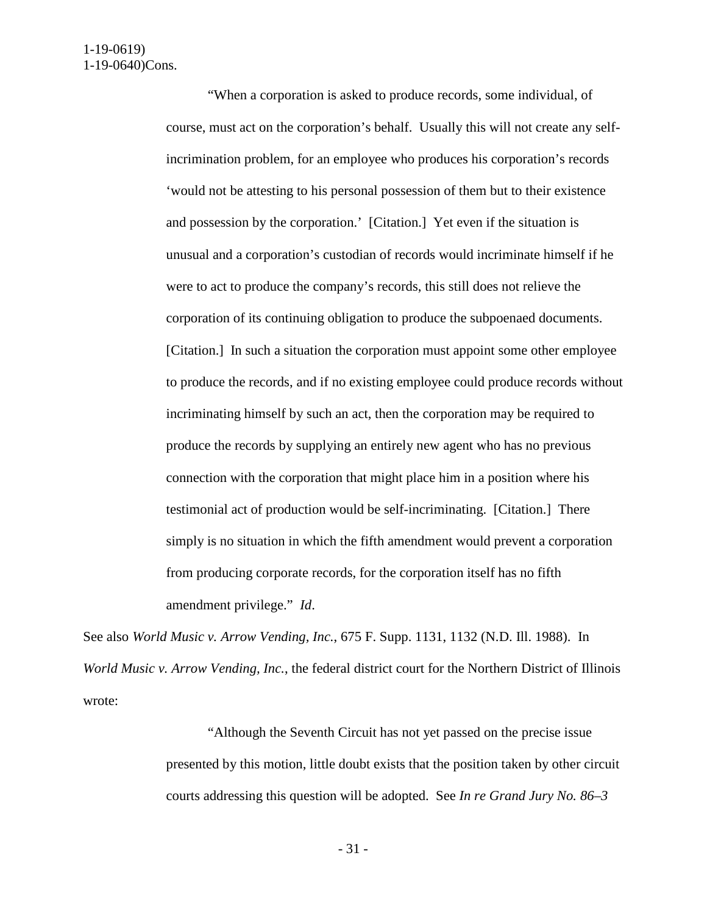"When a corporation is asked to produce records, some individual, of course, must act on the corporation's behalf. Usually this will not create any selfincrimination problem, for an employee who produces his corporation's records 'would not be attesting to his personal possession of them but to their existence and possession by the corporation.' [Citation.] Yet even if the situation is unusual and a corporation's custodian of records would incriminate himself if he were to act to produce the company's records, this still does not relieve the corporation of its continuing obligation to produce the subpoenaed documents. [Citation.] In such a situation the corporation must appoint some other employee to produce the records, and if no existing employee could produce records without incriminating himself by such an act, then the corporation may be required to produce the records by supplying an entirely new agent who has no previous connection with the corporation that might place him in a position where his testimonial act of production would be self-incriminating. [Citation.] There simply is no situation in which the fifth amendment would prevent a corporation from producing corporate records, for the corporation itself has no fifth amendment privilege." *Id*.

See also *World Music v. Arrow Vending, Inc.*, 675 F. Supp. 1131, 1132 (N.D. Ill. 1988). In *World Music v. Arrow Vending, Inc.*, the federal district court for the Northern District of Illinois wrote:

> "Although the Seventh Circuit has not yet passed on the precise issue presented by this motion, little doubt exists that the position taken by other circuit courts addressing this question will be adopted. See *In re Grand Jury No. 86–3*

> > - 31 -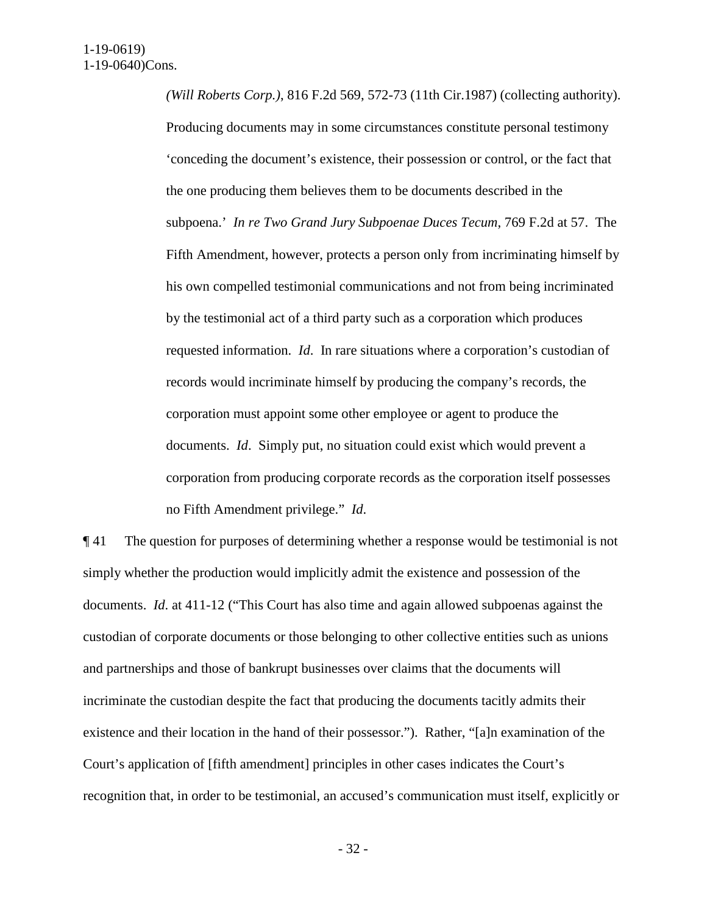*(Will Roberts Corp.)*, 816 F.2d 569, 572-73 (11th Cir.1987) (collecting authority). Producing documents may in some circumstances constitute personal testimony 'conceding the document's existence, their possession or control, or the fact that the one producing them believes them to be documents described in the subpoena.' *In re Two Grand Jury Subpoenae Duces Tecum*, 769 F.2d at 57. The Fifth Amendment, however, protects a person only from incriminating himself by his own compelled testimonial communications and not from being incriminated by the testimonial act of a third party such as a corporation which produces requested information. *Id*. In rare situations where a corporation's custodian of records would incriminate himself by producing the company's records, the corporation must appoint some other employee or agent to produce the documents. *Id*. Simply put, no situation could exist which would prevent a corporation from producing corporate records as the corporation itself possesses no Fifth Amendment privilege." *Id*.

¶ 41 The question for purposes of determining whether a response would be testimonial is not simply whether the production would implicitly admit the existence and possession of the documents. *Id*. at 411-12 ("This Court has also time and again allowed subpoenas against the custodian of corporate documents or those belonging to other collective entities such as unions and partnerships and those of bankrupt businesses over claims that the documents will incriminate the custodian despite the fact that producing the documents tacitly admits their existence and their location in the hand of their possessor."). Rather, "[a]n examination of the Court's application of [fifth amendment] principles in other cases indicates the Court's recognition that, in order to be testimonial, an accused's communication must itself, explicitly or

- 32 -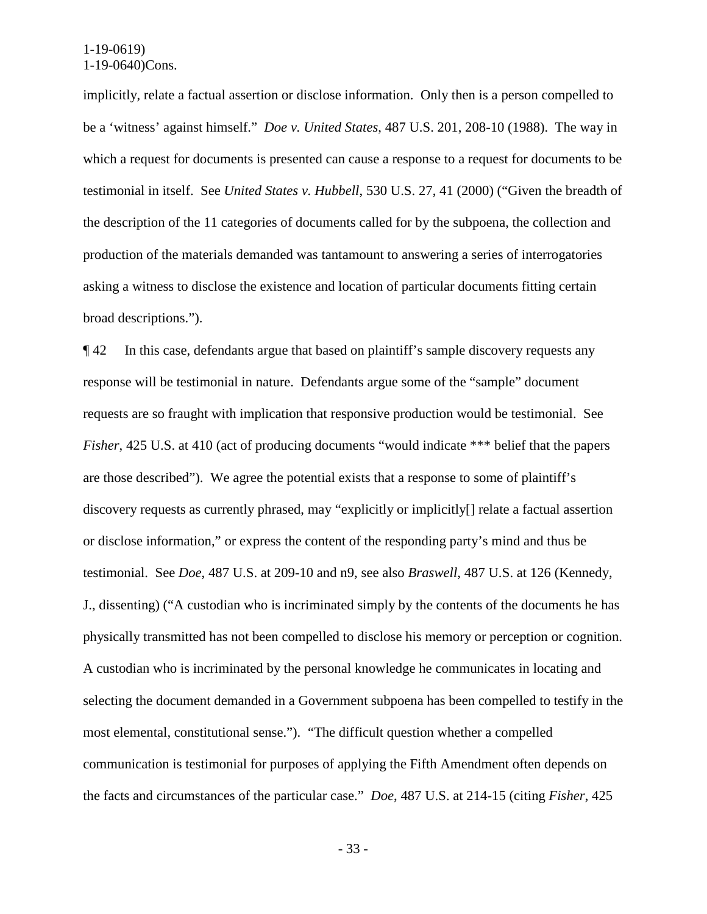implicitly, relate a factual assertion or disclose information. Only then is a person compelled to be a 'witness' against himself." *Doe v. United States*, 487 U.S. 201, 208-10 (1988). The way in which a request for documents is presented can cause a response to a request for documents to be testimonial in itself. See *United States v. Hubbell*, 530 U.S. 27, 41 (2000) ("Given the breadth of the description of the 11 categories of documents called for by the subpoena, the collection and production of the materials demanded was tantamount to answering a series of interrogatories asking a witness to disclose the existence and location of particular documents fitting certain broad descriptions.").

¶ 42 In this case, defendants argue that based on plaintiff's sample discovery requests any response will be testimonial in nature. Defendants argue some of the "sample" document requests are so fraught with implication that responsive production would be testimonial. See *Fisher*, 425 U.S. at 410 (act of producing documents "would indicate \*\*\* belief that the papers are those described"). We agree the potential exists that a response to some of plaintiff's discovery requests as currently phrased, may "explicitly or implicitly[] relate a factual assertion or disclose information," or express the content of the responding party's mind and thus be testimonial. See *Doe*, 487 U.S. at 209-10 and n9, see also *Braswell*, 487 U.S. at 126 (Kennedy, J., dissenting) ("A custodian who is incriminated simply by the contents of the documents he has physically transmitted has not been compelled to disclose his memory or perception or cognition. A custodian who is incriminated by the personal knowledge he communicates in locating and selecting the document demanded in a Government subpoena has been compelled to testify in the most elemental, constitutional sense."). "The difficult question whether a compelled communication is testimonial for purposes of applying the Fifth Amendment often depends on the facts and circumstances of the particular case." *Doe*, 487 U.S. at 214-15 (citing *Fisher*, 425

- 33 -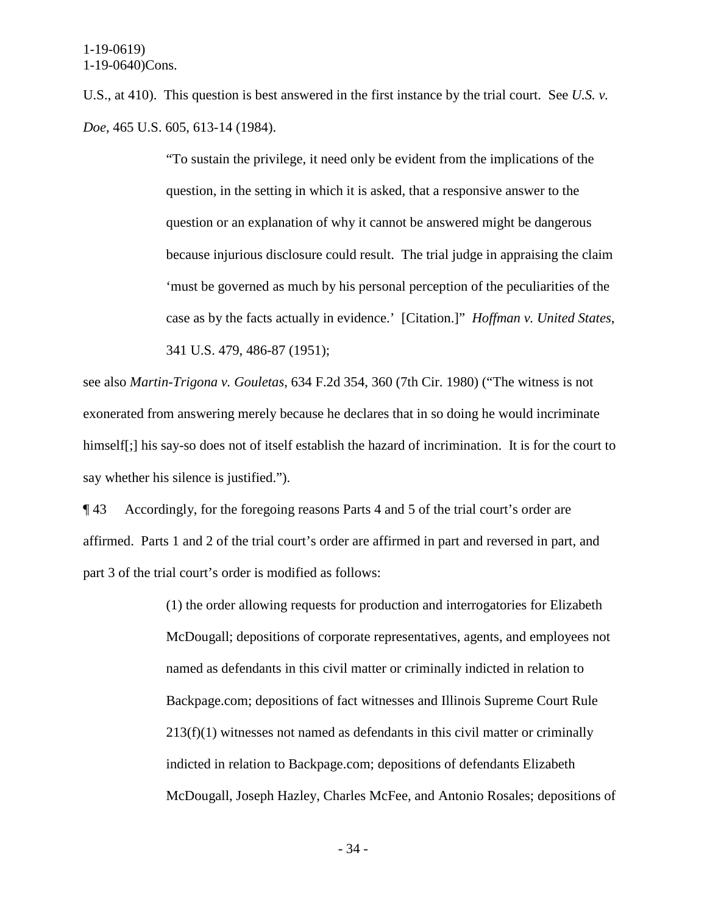U.S., at 410). This question is best answered in the first instance by the trial court. See *U.S. v. Doe*, 465 U.S. 605, 613-14 (1984).

> "To sustain the privilege, it need only be evident from the implications of the question, in the setting in which it is asked, that a responsive answer to the question or an explanation of why it cannot be answered might be dangerous because injurious disclosure could result. The trial judge in appraising the claim 'must be governed as much by his personal perception of the peculiarities of the case as by the facts actually in evidence.' [Citation.]" *Hoffman v. United States*, 341 U.S. 479, 486-87 (1951);

see also *Martin-Trigona v. Gouletas*, 634 F.2d 354, 360 (7th Cir. 1980) ("The witness is not exonerated from answering merely because he declares that in so doing he would incriminate himself[;] his say-so does not of itself establish the hazard of incrimination. It is for the court to say whether his silence is justified.").

¶ 43 Accordingly, for the foregoing reasons Parts 4 and 5 of the trial court's order are affirmed. Parts 1 and 2 of the trial court's order are affirmed in part and reversed in part, and part 3 of the trial court's order is modified as follows:

> (1) the order allowing requests for production and interrogatories for Elizabeth McDougall; depositions of corporate representatives, agents, and employees not named as defendants in this civil matter or criminally indicted in relation to Backpage.com; depositions of fact witnesses and Illinois Supreme Court Rule 213(f)(1) witnesses not named as defendants in this civil matter or criminally indicted in relation to Backpage.com; depositions of defendants Elizabeth McDougall, Joseph Hazley, Charles McFee, and Antonio Rosales; depositions of